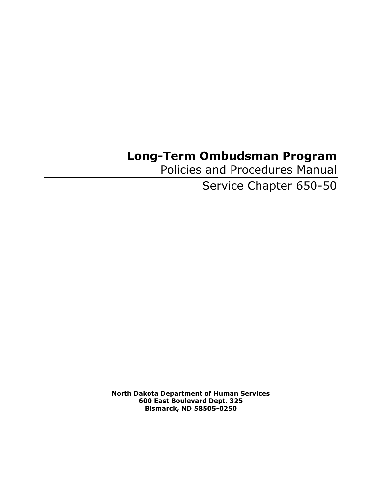# **Long-Term Ombudsman Program**

Policies and Procedures Manual

Service Chapter 650-50

**North Dakota Department of Human Services 600 East Boulevard Dept. 325 Bismarck, ND 58505-0250**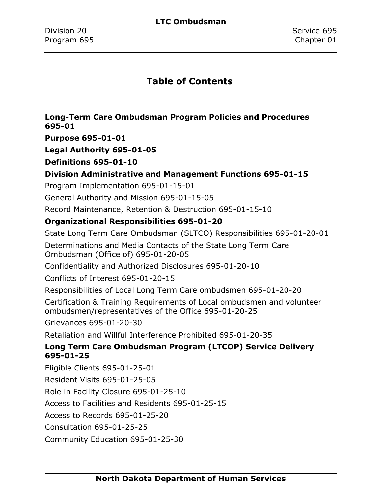### **Table of Contents**

### **[Long-Term Care Ombudsman Program Policies and Procedures](#page-3-0)  [695-01](#page-3-0)**

**[Purpose 695-01-01](#page-3-1)**

**[Legal Authority 695-01-05](#page-4-0)**

**[Definitions 695-01-10](#page-5-0)**

### **[Division Administrative and Management Functions 695-01-15](#page-11-0)**

[Program Implementation 695-01-15-01](#page-12-0)

[General Authority and Mission 695-01-15-05](#page-13-0)

[Record Maintenance, Retention &](#page-14-0) Destruction 695-01-15-10

### **[Organizational Responsibilities 695-01-20](#page-15-0)**

[State Long Term Care Ombudsman \(SLTCO\) Responsibilities 695-01-20-01](#page-15-1)

[Determinations and Media Contacts of the State Long Term](#page-18-0) Care [Ombudsman \(Office of\) 695-01-20-05](#page-18-0)

[Confidentiality and Authorized Disclosures 695-01-20-10](#page-19-0)

[Conflicts of Interest 695-01-20-15](#page-24-0)

[Responsibilities of Local Long Term Care ombudsmen 695-01-20-20](#page-31-0)

[Certification & Training Requirements of Local ombudsmen and](#page-33-0) volunteer [ombudsmen/representatives of the Office 695-01-20-25](#page-33-0)

[Grievances 695-01-20-30](#page-37-0)

[Retaliation and Willful Interference Prohibited 695-01-20-35](#page-40-0)

### **[Long Term Care Ombudsman Program \(LTCOP\) Service Delivery](#page-42-0)  [695-01-25](#page-42-0)**

[Eligible Clients 695-01-25-01](#page-42-1)

[Resident Visits 695-01-25-05](#page-43-0)

[Role in Facility Closure 695-01-25-10](#page-45-0)

Access [to Facilities and Residents 695-01-25-15](#page-46-0)

[Access to Records 695-01-25-20](#page-47-0)

[Consultation 695-01-25-25](#page-49-0)

[Community Education 695-01-25-30](#page-50-0)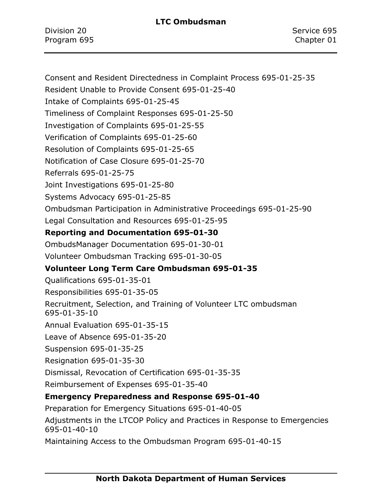Division 20 Service 695 Program 695 Chapter 01

[Consent and Resident Directedness in Complaint Process 695-01-25-35](#page-51-0) [Resident Unable to Provide Consent 695-01-25-40](#page-54-0) [Intake of Complaints 695-01-25-45](#page-55-0) [Timeliness of Complaint Responses 695-01-25-50](#page-58-0) [Investigation of Complaints 695-01-25-55](#page-60-0) [Verification of Complaints 695-01-25-60](#page-62-0) [Resolution of Complaints 695-01-25-65](#page-63-0) [Notification of Case Closure 695-01-25-70](#page-64-0) [Referrals 695-01-25-75](#page-65-0) [Joint Investigations 695-01-25-80](#page-68-0) [Systems Advocacy 695-01-25-85](#page-70-0) [Ombudsman Participation in Administrative Proceedings 695-01-25-90](#page-73-0) [Legal Consultation and Resources 695-01-25-95](#page-75-0) **[Reporting and Documentation 695-01-30](#page-77-0)** [OmbudsManager Documentation 695-01-30-01](#page-77-1) [Volunteer Ombudsman Tracking 695-01-30-05](#page-78-0) **[Volunteer Long Term Care Ombudsman 695-01-35](#page-79-0)** [Qualifications 695-01-35-01](#page-79-1) [Responsibilities 695-01-35-05](#page-80-0) [Recruitment, Selection, and Training of Volunteer LTC ombudsman](#page-83-0)  [695-01-35-10](#page-83-0) [Annual Evaluation 695-01-35-15](#page-86-0) [Leave of Absence 695-01-35-20](#page-87-0) [Suspension 695-01-35-25](#page-89-0) [Resignation 695-01-35-30](#page-90-0) [Dismissal, Revocation of Certification 695-01-35-35](#page-91-0) [Reimbursement of Expenses 695-01-35-40](#page-92-0) **[Emergency Preparedness and Response 695-01-40](#page-93-0)** [Preparation for Emergency Situations 695-01-40-05](#page-94-0) Adjustments in the LTCOP [Policy and Practices in Response to Emergencies](#page-96-0)  [695-01-40-10](#page-96-0) [Maintaining Access to the Ombudsman Program 695-01-40-15](#page-98-0)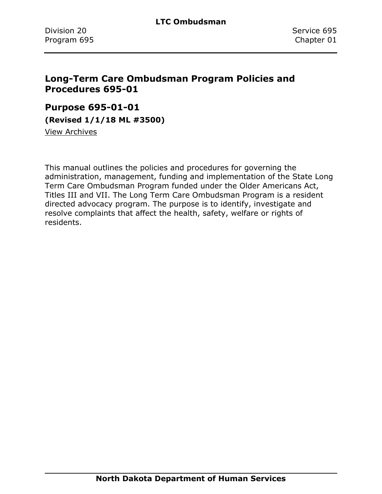### <span id="page-3-0"></span>**Long-Term Care Ombudsman Program Policies and Procedures 695-01**

### <span id="page-3-1"></span>**Purpose 695-01-01**

**(Revised 1/1/18 ML #3500)**

[View Archives](../../../Content/Archive%20Documents/Archives.htm#695_01_01)

This manual outlines the policies and procedures for governing the administration, management, funding and implementation of the State Long Term Care Ombudsman Program funded under the Older Americans Act, Titles III and VII. The Long Term Care Ombudsman Program is a resident directed advocacy program. The purpose is to identify, investigate and resolve complaints that affect the health, safety, welfare or rights of residents.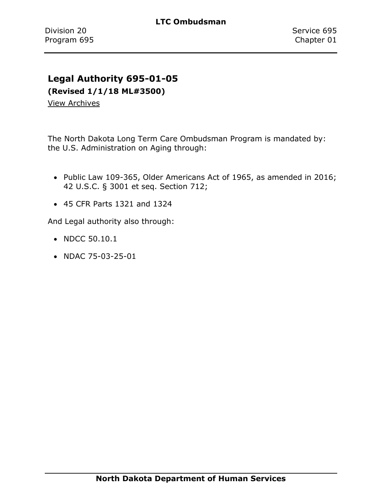### <span id="page-4-0"></span>**Legal Authority 695-01-05**

**(Revised 1/1/18 ML#3500)**

[View Archives](../../../Content/Archive%20Documents/Archives.htm#695_01_05)

The North Dakota Long Term Care Ombudsman Program is mandated by: the U.S. Administration on Aging through:

- Public Law 109-365, Older Americans Act of 1965, as amended in 2016; 42 U.S.C. § 3001 et seq. Section 712;
- 45 CFR Parts 1321 and 1324

And Legal authority also through:

- NDCC 50.10.1
- NDAC 75-03-25-01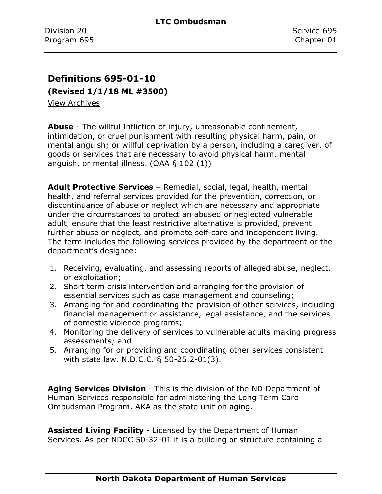### <span id="page-5-0"></span>**Definitions 695-01-10**

**(Revised 1/1/18 ML #3500)**

[View Archives](../../../Content/Archive%20Documents/Archives.htm#695_01_10_01)

**Abuse** - The willful Infliction of injury, unreasonable confinement, intimidation, or cruel punishment with resulting physical harm, pain, or mental anguish; or willful deprivation by a person, including a caregiver, of goods or services that are necessary to avoid physical harm, mental anguish, or mental illness. (OAA § 102 (1))

**Adult Protective Services** – Remedial, social, legal, health, mental health, and referral services provided for the prevention, correction, or discontinuance of abuse or neglect which are necessary and appropriate under the circumstances to protect an abused or neglected vulnerable adult, ensure that the least restrictive alternative is provided, prevent further abuse or neglect, and promote self-care and independent living. The term includes the following services provided by the department or the department's designee:

- 1. Receiving, evaluating, and assessing reports of alleged abuse, neglect, or exploitation;
- 2. Short term crisis intervention and arranging for the provision of essential services such as case management and counseling;
- 3. Arranging for and coordinating the provision of other services, including financial management or assistance, legal assistance, and the services of domestic violence programs;
- 4. Monitoring the delivery of services to vulnerable adults making progress assessments; and
- 5. Arranging for or providing and coordinating other services consistent with state law. N.D.C.C. § 50-25.2-01(3).

**Aging Services Division** - This is the division of the ND Department of Human Services responsible for administering the Long Term Care Ombudsman Program. AKA as the state unit on aging.

**Assisted Living Facility** - Licensed by the Department of Human Services. As per NDCC 50-32-01 it is a building or structure containing a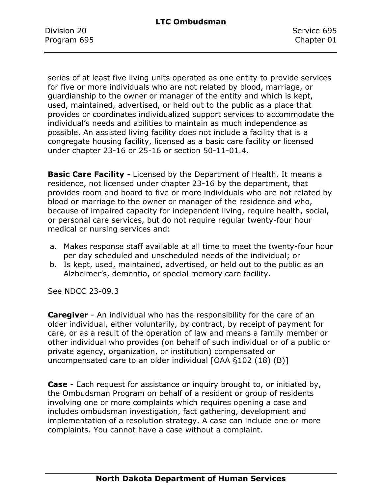Division 20 Service 695 Program 695 Chapter 01

series of at least five living units operated as one entity to provide services for five or more individuals who are not related by blood, marriage, or guardianship to the owner or manager of the entity and which is kept, used, maintained, advertised, or held out to the public as a place that provides or coordinates individualized support services to accommodate the individual's needs and abilities to maintain as much independence as possible. An assisted living facility does not include a facility that is a congregate housing facility, licensed as a basic care facility or licensed under chapter 23-16 or 25-16 or section 50-11-01.4.

**Basic Care Facility** - Licensed by the Department of Health. It means a residence, not licensed under chapter 23-16 by the department, that provides room and board to five or more individuals who are not related by blood or marriage to the owner or manager of the residence and who, because of impaired capacity for independent living, require health, social, or personal care services, but do not require regular twenty-four hour medical or nursing services and:

- a. Makes response staff available at all time to meet the twenty-four hour per day scheduled and unscheduled needs of the individual; or
- b. Is kept, used, maintained, advertised, or held out to the public as an Alzheimer's, dementia, or special memory care facility.

See NDCC 23-09.3

**Caregiver** - An individual who has the responsibility for the care of an older individual, either voluntarily, by contract, by receipt of payment for care, or as a result of the operation of law and means a family member or other individual who provides (on behalf of such individual or of a public or private agency, organization, or institution) compensated or uncompensated care to an older individual [OAA §102 (18) (B)]

**Case** - Each request for assistance or inquiry brought to, or initiated by, the Ombudsman Program on behalf of a resident or group of residents involving one or more complaints which requires opening a case and includes ombudsman investigation, fact gathering, development and implementation of a resolution strategy. A case can include one or more complaints. You cannot have a case without a complaint.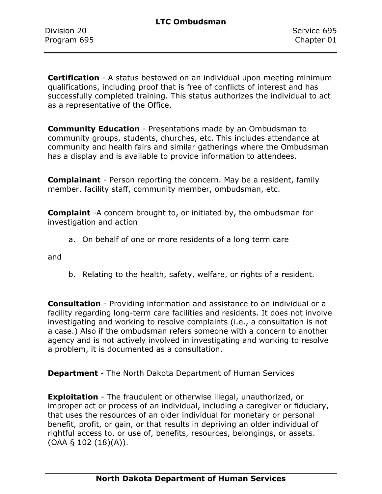**Certification** - A status bestowed on an individual upon meeting minimum qualifications, including proof that is free of conflicts of interest and has successfully completed training. This status authorizes the individual to act as a representative of the Office.

**Community Education** - Presentations made by an Ombudsman to community groups, students, churches, etc. This includes attendance at community and health fairs and similar gatherings where the Ombudsman has a display and is available to provide information to attendees.

**Complainant** - Person reporting the concern. May be a resident, family member, facility staff, community member, ombudsman, etc.

**Complaint** -A concern brought to, or initiated by, the ombudsman for investigation and action

a. On behalf of one or more residents of a long term care

and

b. Relating to the health, safety, welfare, or rights of a resident.

**Consultation** - Providing information and assistance to an individual or a facility regarding long-term care facilities and residents. It does not involve investigating and working to resolve complaints (i.e., a consultation is not a case.) Also if the ombudsman refers someone with a concern to another agency and is not actively involved in investigating and working to resolve a problem, it is documented as a consultation.

**Department** - The North Dakota Department of Human Services

**Exploitation** - The fraudulent or otherwise illegal, unauthorized, or improper act or process of an individual, including a caregiver or fiduciary, that uses the resources of an older individual for monetary or personal benefit, profit, or gain, or that results in depriving an older individual of rightful access to, or use of, benefits, resources, belongings, or assets. (OAA § 102 (18)(A)).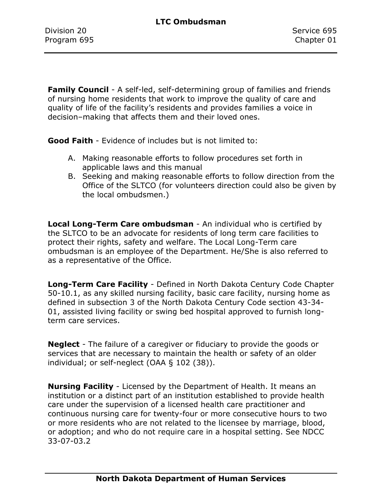**Family Council** - A self-led, self-determining group of families and friends of nursing home residents that work to improve the quality of care and quality of life of the facility's residents and provides families a voice in decision–making that affects them and their loved ones.

**Good Faith** - Evidence of includes but is not limited to:

- A. Making reasonable efforts to follow procedures set forth in applicable laws and this manual
- B. Seeking and making reasonable efforts to follow direction from the Office of the SLTCO (for volunteers direction could also be given by the local ombudsmen.)

**Local Long-Term Care ombudsman** - An individual who is certified by the SLTCO to be an advocate for residents of long term care facilities to protect their rights, safety and welfare. The Local Long-Term care ombudsman is an employee of the Department. He/She is also referred to as a representative of the Office.

**Long-Term Care Facility** - Defined in North Dakota Century Code Chapter 50-10.1, as any skilled nursing facility, basic care facility, nursing home as defined in subsection 3 of the North Dakota Century Code section 43-34- 01, assisted living facility or swing bed hospital approved to furnish longterm care services.

**Neglect** - The failure of a caregiver or fiduciary to provide the goods or services that are necessary to maintain the health or safety of an older individual; or self-neglect (OAA § 102 (38)).

**Nursing Facility** - Licensed by the Department of Health. It means an institution or a distinct part of an institution established to provide health care under the supervision of a licensed health care practitioner and continuous nursing care for twenty-four or more consecutive hours to two or more residents who are not related to the licensee by marriage, blood, or adoption; and who do not require care in a hospital setting. See NDCC 33-07-03.2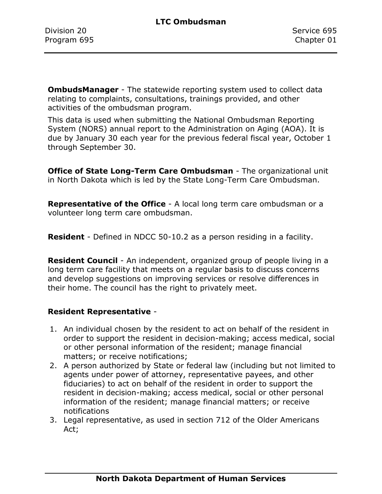**OmbudsManager** - The statewide reporting system used to collect data relating to complaints, consultations, trainings provided, and other activities of the ombudsman program.

This data is used when submitting the National Ombudsman Reporting System (NORS) annual report to the Administration on Aging (AOA). It is due by January 30 each year for the previous federal fiscal year, October 1 through September 30.

**Office of State Long-Term Care Ombudsman** - The organizational unit in North Dakota which is led by the State Long-Term Care Ombudsman.

**Representative of the Office** - A local long term care ombudsman or a volunteer long term care ombudsman.

**Resident** - Defined in NDCC 50-10.2 as a person residing in a facility.

**Resident Council** - An independent, organized group of people living in a long term care facility that meets on a regular basis to discuss concerns and develop suggestions on improving services or resolve differences in their home. The council has the right to privately meet.

### **Resident Representative** -

- 1. An individual chosen by the resident to act on behalf of the resident in order to support the resident in decision-making; access medical, social or other personal information of the resident; manage financial matters; or receive notifications;
- 2. A person authorized by State or federal law (including but not limited to agents under power of attorney, representative payees, and other fiduciaries) to act on behalf of the resident in order to support the resident in decision-making; access medical, social or other personal information of the resident; manage financial matters; or receive notifications
- 3. Legal representative, as used in section 712 of the Older Americans Act;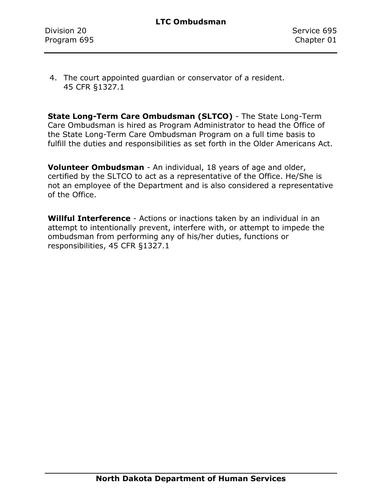4. The court appointed guardian or conservator of a resident. 45 CFR §1327.1

**State Long-Term Care Ombudsman (SLTCO)** - The State Long-Term Care Ombudsman is hired as Program Administrator to head the Office of the State Long-Term Care Ombudsman Program on a full time basis to fulfill the duties and responsibilities as set forth in the Older Americans Act.

**Volunteer Ombudsman** - An individual, 18 years of age and older, certified by the SLTCO to act as a representative of the Office. He/She is not an employee of the Department and is also considered a representative of the Office.

**Willful Interference** - Actions or inactions taken by an individual in an attempt to intentionally prevent, interfere with, or attempt to impede the ombudsman from performing any of his/her duties, functions or responsibilities, 45 CFR §1327.1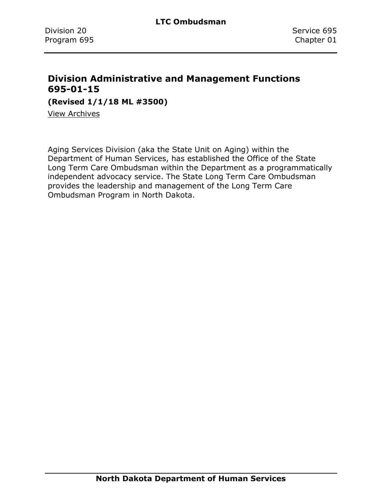### <span id="page-11-0"></span>**Division Administrative and Management Functions 695-01-15**

**(Revised 1/1/18 ML #3500)**

[View Archives](../../../Content/Archive%20Documents/Archives.htm#695_01_15)

Aging Services Division (aka the State Unit on Aging) within the Department of Human Services, has established the Office of the State Long Term Care Ombudsman within the Department as a programmatically independent advocacy service. The State Long Term Care Ombudsman provides the leadership and management of the Long Term Care Ombudsman Program in North Dakota.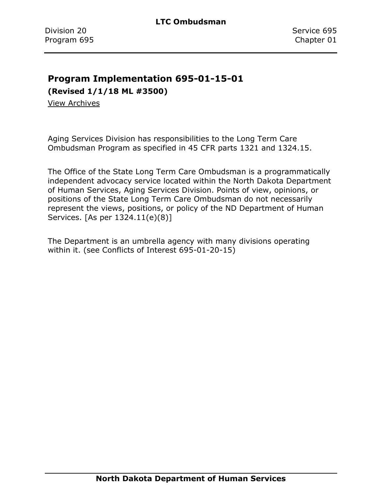### <span id="page-12-0"></span>**Program Implementation 695-01-15-01**

**(Revised 1/1/18 ML #3500)**

[View Archives](../../../Content/Archive%20Documents/Archives.htm#695_01_15_01)

Aging Services Division has responsibilities to the Long Term Care Ombudsman Program as specified in 45 CFR parts 1321 and 1324.15.

The Office of the State Long Term Care Ombudsman is a programmatically independent advocacy service located within the North Dakota Department of Human Services, Aging Services Division. Points of view, opinions, or positions of the State Long Term Care Ombudsman do not necessarily represent the views, positions, or policy of the ND Department of Human Services. [As per 1324.11(e)(8)]

The Department is an umbrella agency with many divisions operating within it. (see Conflicts of Interest 695-01-20-15)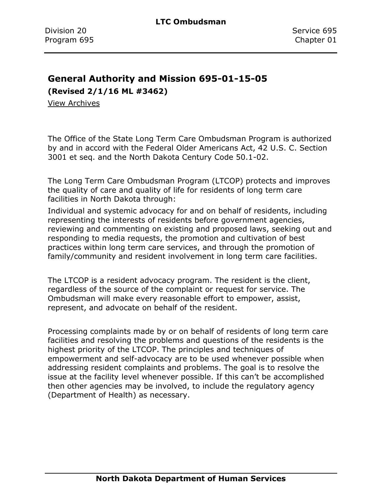### <span id="page-13-0"></span>**General Authority and Mission 695-01-15-05**

**(Revised 2/1/16 ML #3462)**

[View Archives](../../../Content/Archive%20Documents/Archives.htm#695_01_15_05)

The Office of the State Long Term Care Ombudsman Program is authorized by and in accord with the Federal Older Americans Act, 42 U.S. C. Section 3001 et seq. and the North Dakota Century Code 50.1-02.

The Long Term Care Ombudsman Program (LTCOP) protects and improves the quality of care and quality of life for residents of long term care facilities in North Dakota through:

Individual and systemic advocacy for and on behalf of residents, including representing the interests of residents before government agencies, reviewing and commenting on existing and proposed laws, seeking out and responding to media requests, the promotion and cultivation of best practices within long term care services, and through the promotion of family/community and resident involvement in long term care facilities.

The LTCOP is a resident advocacy program. The resident is the client, regardless of the source of the complaint or request for service. The Ombudsman will make every reasonable effort to empower, assist, represent, and advocate on behalf of the resident.

Processing complaints made by or on behalf of residents of long term care facilities and resolving the problems and questions of the residents is the highest priority of the LTCOP. The principles and techniques of empowerment and self-advocacy are to be used whenever possible when addressing resident complaints and problems. The goal is to resolve the issue at the facility level whenever possible. If this can't be accomplished then other agencies may be involved, to include the regulatory agency (Department of Health) as necessary.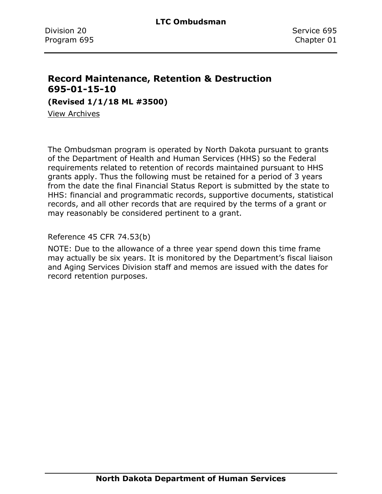### <span id="page-14-0"></span>**Record Maintenance, Retention & Destruction 695-01-15-10**

**(Revised 1/1/18 ML #3500)**

[View Archives](../../../Content/Archive%20Documents/Archives.htm#695_01_15_10)

The Ombudsman program is operated by North Dakota pursuant to grants of the Department of Health and Human Services (HHS) so the Federal requirements related to retention of records maintained pursuant to HHS grants apply. Thus the following must be retained for a period of 3 years from the date the final Financial Status Report is submitted by the state to HHS: financial and programmatic records, supportive documents, statistical records, and all other records that are required by the terms of a grant or may reasonably be considered pertinent to a grant.

Reference 45 CFR 74.53(b)

NOTE: Due to the allowance of a three year spend down this time frame may actually be six years. It is monitored by the Department's fiscal liaison and Aging Services Division staff and memos are issued with the dates for record retention purposes.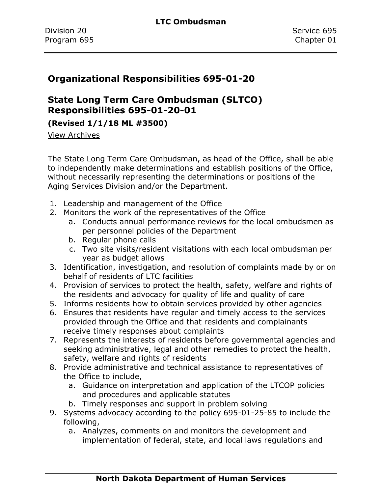### <span id="page-15-0"></span>**Organizational Responsibilities 695-01-20**

## <span id="page-15-1"></span>**State Long Term Care Ombudsman (SLTCO) Responsibilities 695-01-20-01**

### **(Revised 1/1/18 ML #3500)**

[View Archives](../../../Content/Archive%20Documents/Archives.htm#695_01_20_01)

The State Long Term Care Ombudsman, as head of the Office, shall be able to independently make determinations and establish positions of the Office, without necessarily representing the determinations or positions of the Aging Services Division and/or the Department.

- 1. Leadership and management of the Office
- 2. Monitors the work of the representatives of the Office
	- a. Conducts annual performance reviews for the local ombudsmen as per personnel policies of the Department
	- b. Regular phone calls
	- c. Two site visits/resident visitations with each local ombudsman per year as budget allows
- 3. Identification, investigation, and resolution of complaints made by or on behalf of residents of LTC facilities
- 4. Provision of services to protect the health, safety, welfare and rights of the residents and advocacy for quality of life and quality of care
- 5. Informs residents how to obtain services provided by other agencies
- 6. Ensures that residents have regular and timely access to the services provided through the Office and that residents and complainants receive timely responses about complaints
- 7. Represents the interests of residents before governmental agencies and seeking administrative, legal and other remedies to protect the health, safety, welfare and rights of residents
- 8. Provide administrative and technical assistance to representatives of the Office to include,
	- a. Guidance on interpretation and application of the LTCOP policies and procedures and applicable statutes
	- b. Timely responses and support in problem solving
- 9. Systems advocacy according to the policy 695-01-25-85 to include the following,
	- a. Analyzes, comments on and monitors the development and implementation of federal, state, and local laws regulations and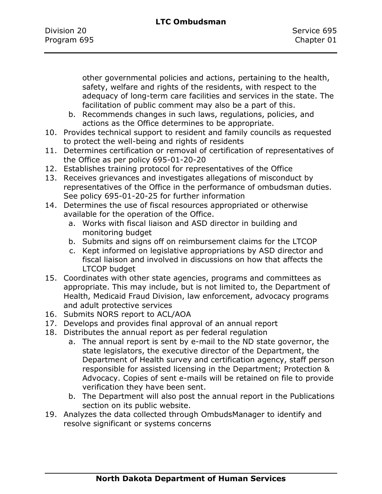other governmental policies and actions, pertaining to the health, safety, welfare and rights of the residents, with respect to the adequacy of long-term care facilities and services in the state. The facilitation of public comment may also be a part of this.

- b. Recommends changes in such laws, regulations, policies, and actions as the Office determines to be appropriate.
- 10. Provides technical support to resident and family councils as requested to protect the well-being and rights of residents
- 11. Determines certification or removal of certification of representatives of the Office as per policy 695-01-20-20
- 12. Establishes training protocol for representatives of the Office
- 13. Receives grievances and investigates allegations of misconduct by representatives of the Office in the performance of ombudsman duties. See policy 695-01-20-25 for further information
- 14. Determines the use of fiscal resources appropriated or otherwise available for the operation of the Office.
	- a. Works with fiscal liaison and ASD director in building and monitoring budget
	- b. Submits and signs off on reimbursement claims for the LTCOP
	- c. Kept informed on legislative appropriations by ASD director and fiscal liaison and involved in discussions on how that affects the LTCOP budget
- 15. Coordinates with other state agencies, programs and committees as appropriate. This may include, but is not limited to, the Department of Health, Medicaid Fraud Division, law enforcement, advocacy programs and adult protective services
- 16. Submits NORS report to ACL/AOA
- 17. Develops and provides final approval of an annual report
- 18. Distributes the annual report as per federal regulation
	- a. The annual report is sent by e-mail to the ND state governor, the state legislators, the executive director of the Department, the Department of Health survey and certification agency, staff person responsible for assisted licensing in the Department; Protection & Advocacy. Copies of sent e-mails will be retained on file to provide verification they have been sent.
	- b. The Department will also post the annual report in the Publications section on its public website.
- 19. Analyzes the data collected through OmbudsManager to identify and resolve significant or systems concerns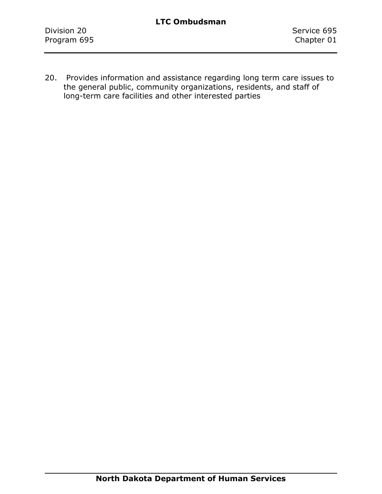20. Provides information and assistance regarding long term care issues to the general public, community organizations, residents, and staff of long-term care facilities and other interested parties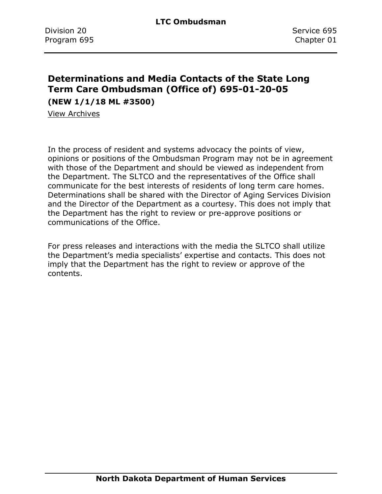## <span id="page-18-0"></span>**Determinations and Media Contacts of the State Long Term Care Ombudsman (Office of) 695-01-20-05**

**(NEW 1/1/18 ML #3500)**

[View Archives](../../../Content/Archive%20Documents/Archives.htm#695_01_20_05_Determinations_and_Media_Contacts_of_the_State_Long_Term_Care_Ombudman_(Office_of))

In the process of resident and systems advocacy the points of view, opinions or positions of the Ombudsman Program may not be in agreement with those of the Department and should be viewed as independent from the Department. The SLTCO and the representatives of the Office shall communicate for the best interests of residents of long term care homes. Determinations shall be shared with the Director of Aging Services Division and the Director of the Department as a courtesy. This does not imply that the Department has the right to review or pre-approve positions or communications of the Office.

For press releases and interactions with the media the SLTCO shall utilize the Department's media specialists' expertise and contacts. This does not imply that the Department has the right to review or approve of the contents.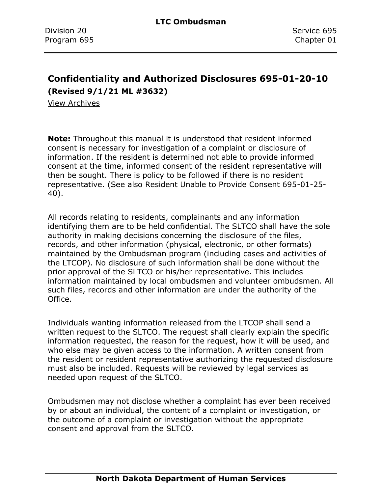### <span id="page-19-0"></span>**Confidentiality and Authorized Disclosures 695-01-20-10 (Revised 9/1/21 ML #3632)**

[View Archives](../../../Content/Archive%20Documents/Archives.htm#695_01_20_10)

**Note:** Throughout this manual it is understood that resident informed consent is necessary for investigation of a complaint or disclosure of information. If the resident is determined not able to provide informed consent at the time, informed consent of the resident representative will then be sought. There is policy to be followed if there is no resident representative. (See also Resident Unable to Provide Consent 695-01-25- 40).

All records relating to residents, complainants and any information identifying them are to be held confidential. The SLTCO shall have the sole authority in making decisions concerning the disclosure of the files, records, and other information (physical, electronic, or other formats) maintained by the Ombudsman program (including cases and activities of the LTCOP). No disclosure of such information shall be done without the prior approval of the SLTCO or his/her representative. This includes information maintained by local ombudsmen and volunteer ombudsmen. All such files, records and other information are under the authority of the Office.

Individuals wanting information released from the LTCOP shall send a written request to the SLTCO. The request shall clearly explain the specific information requested, the reason for the request, how it will be used, and who else may be given access to the information. A written consent from the resident or resident representative authorizing the requested disclosure must also be included. Requests will be reviewed by legal services as needed upon request of the SLTCO.

Ombudsmen may not disclose whether a complaint has ever been received by or about an individual, the content of a complaint or investigation, or the outcome of a complaint or investigation without the appropriate consent and approval from the SLTCO.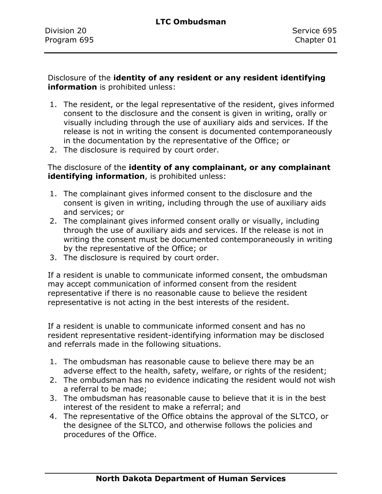Disclosure of the **identity of any resident or any resident identifying information** is prohibited unless:

- 1. The resident, or the legal representative of the resident, gives informed consent to the disclosure and the consent is given in writing, orally or visually including through the use of auxiliary aids and services. If the release is not in writing the consent is documented contemporaneously in the documentation by the representative of the Office; or
- 2. The disclosure is required by court order.

The disclosure of the **identity of any complainant, or any complainant identifying information**, is prohibited unless:

- 1. The complainant gives informed consent to the disclosure and the consent is given in writing, including through the use of auxiliary aids and services; or
- 2. The complainant gives informed consent orally or visually, including through the use of auxiliary aids and services. If the release is not in writing the consent must be documented contemporaneously in writing by the representative of the Office; or
- 3. The disclosure is required by court order.

If a resident is unable to communicate informed consent, the ombudsman may accept communication of informed consent from the resident representative if there is no reasonable cause to believe the resident representative is not acting in the best interests of the resident.

If a resident is unable to communicate informed consent and has no resident representative resident-identifying information may be disclosed and referrals made in the following situations.

- 1. The ombudsman has reasonable cause to believe there may be an adverse effect to the health, safety, welfare, or rights of the resident;
- 2. The ombudsman has no evidence indicating the resident would not wish a referral to be made;
- 3. The ombudsman has reasonable cause to believe that it is in the best interest of the resident to make a referral; and
- 4. The representative of the Office obtains the approval of the SLTCO, or the designee of the SLTCO, and otherwise follows the policies and procedures of the Office.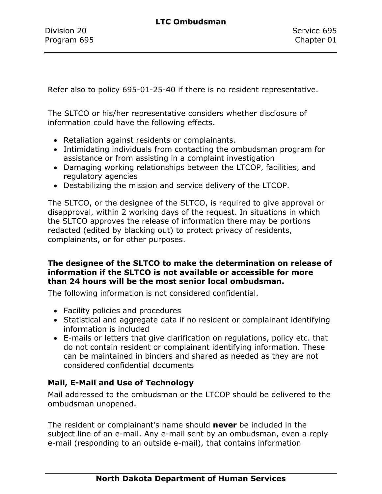Refer also to policy 695-01-25-40 if there is no resident representative.

The SLTCO or his/her representative considers whether disclosure of information could have the following effects.

- Retaliation against residents or complainants.
- Intimidating individuals from contacting the ombudsman program for assistance or from assisting in a complaint investigation
- Damaging working relationships between the LTCOP, facilities, and regulatory agencies
- Destabilizing the mission and service delivery of the LTCOP.

The SLTCO, or the designee of the SLTCO, is required to give approval or disapproval, within 2 working days of the request. In situations in which the SLTCO approves the release of information there may be portions redacted (edited by blacking out) to protect privacy of residents, complainants, or for other purposes.

#### **The designee of the SLTCO to make the determination on release of information if the SLTCO is not available or accessible for more than 24 hours will be the most senior local ombudsman.**

The following information is not considered confidential.

- Facility policies and procedures
- Statistical and aggregate data if no resident or complainant identifying information is included
- E-mails or letters that give clarification on regulations, policy etc. that do not contain resident or complainant identifying information. These can be maintained in binders and shared as needed as they are not considered confidential documents

### **Mail, E-Mail and Use of Technology**

Mail addressed to the ombudsman or the LTCOP should be delivered to the ombudsman unopened.

The resident or complainant's name should **never** be included in the subject line of an e-mail. Any e-mail sent by an ombudsman, even a reply e-mail (responding to an outside e-mail), that contains information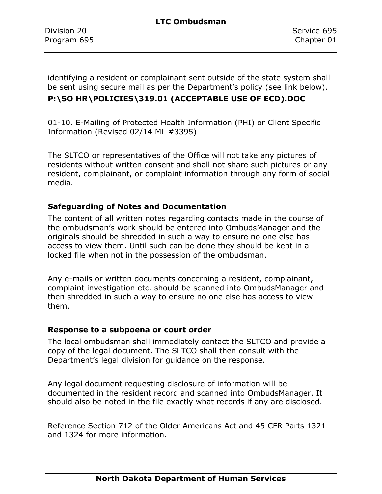identifying a resident or complainant sent outside of the state system shall be sent using secure mail as per the Department's policy (see link below).

### **P:\SO HR\POLICIES\319.01 (ACCEPTABLE USE OF ECD).DOC**

01-10. E-Mailing of Protected Health Information (PHI) or Client Specific Information (Revised 02/14 ML #3395)

The SLTCO or representatives of the Office will not take any pictures of residents without written consent and shall not share such pictures or any resident, complainant, or complaint information through any form of social media.

#### **Safeguarding of Notes and Documentation**

The content of all written notes regarding contacts made in the course of the ombudsman's work should be entered into OmbudsManager and the originals should be shredded in such a way to ensure no one else has access to view them. Until such can be done they should be kept in a locked file when not in the possession of the ombudsman.

Any e-mails or written documents concerning a resident, complainant, complaint investigation etc. should be scanned into OmbudsManager and then shredded in such a way to ensure no one else has access to view them.

#### **Response to a subpoena or court order**

The local ombudsman shall immediately contact the SLTCO and provide a copy of the legal document. The SLTCO shall then consult with the Department's legal division for guidance on the response.

Any legal document requesting disclosure of information will be documented in the resident record and scanned into OmbudsManager. It should also be noted in the file exactly what records if any are disclosed.

Reference Section 712 of the Older Americans Act and 45 CFR Parts 1321 and 1324 for more information.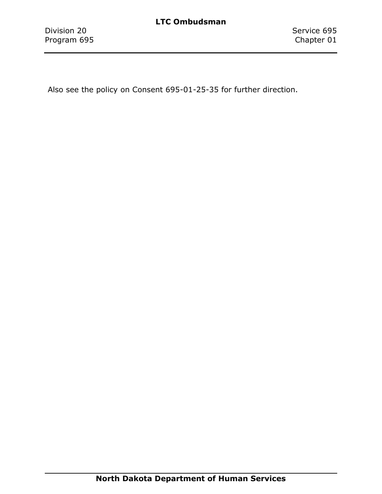Also see the policy on Consent 695-01-25-35 for further direction.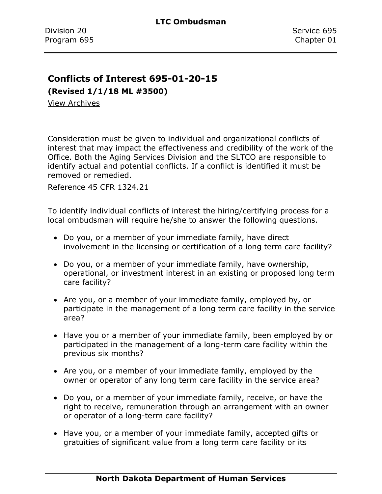### <span id="page-24-0"></span>**Conflicts of Interest 695-01-20-15**

**(Revised 1/1/18 ML #3500)**

[View Archives](../../../Content/Archive%20Documents/Archives.htm#695_01_20_15)

Consideration must be given to individual and organizational conflicts of interest that may impact the effectiveness and credibility of the work of the Office. Both the Aging Services Division and the SLTCO are responsible to identify actual and potential conflicts. If a conflict is identified it must be removed or remedied.

Reference 45 CFR 1324.21

To identify individual conflicts of interest the hiring/certifying process for a local ombudsman will require he/she to answer the following questions.

- Do you, or a member of your immediate family, have direct involvement in the licensing or certification of a long term care facility?
- Do you, or a member of your immediate family, have ownership, operational, or investment interest in an existing or proposed long term care facility?
- Are you, or a member of your immediate family, employed by, or participate in the management of a long term care facility in the service area?
- Have you or a member of your immediate family, been employed by or participated in the management of a long-term care facility within the previous six months?
- Are you, or a member of your immediate family, employed by the owner or operator of any long term care facility in the service area?
- Do you, or a member of your immediate family, receive, or have the right to receive, remuneration through an arrangement with an owner or operator of a long-term care facility?
- Have you, or a member of your immediate family, accepted gifts or gratuities of significant value from a long term care facility or its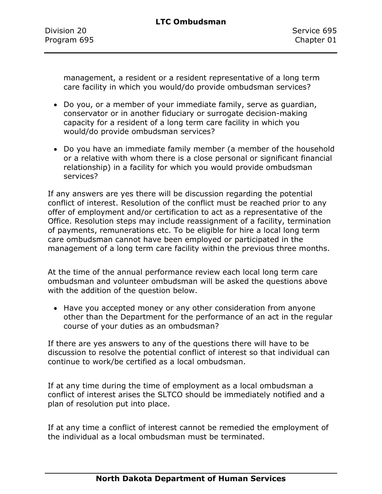management, a resident or a resident representative of a long term care facility in which you would/do provide ombudsman services?

- Do you, or a member of your immediate family, serve as guardian, conservator or in another fiduciary or surrogate decision-making capacity for a resident of a long term care facility in which you would/do provide ombudsman services?
- Do you have an immediate family member (a member of the household or a relative with whom there is a close personal or significant financial relationship) in a facility for which you would provide ombudsman services?

If any answers are yes there will be discussion regarding the potential conflict of interest. Resolution of the conflict must be reached prior to any offer of employment and/or certification to act as a representative of the Office. Resolution steps may include reassignment of a facility, termination of payments, remunerations etc. To be eligible for hire a local long term care ombudsman cannot have been employed or participated in the management of a long term care facility within the previous three months.

At the time of the annual performance review each local long term care ombudsman and volunteer ombudsman will be asked the questions above with the addition of the question below.

• Have you accepted money or any other consideration from anyone other than the Department for the performance of an act in the regular course of your duties as an ombudsman?

If there are yes answers to any of the questions there will have to be discussion to resolve the potential conflict of interest so that individual can continue to work/be certified as a local ombudsman.

If at any time during the time of employment as a local ombudsman a conflict of interest arises the SLTCO should be immediately notified and a plan of resolution put into place.

If at any time a conflict of interest cannot be remedied the employment of the individual as a local ombudsman must be terminated.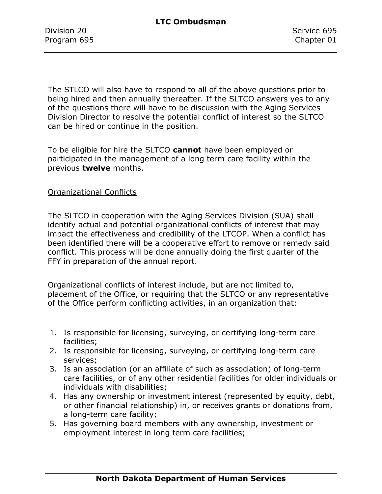The STLCO will also have to respond to all of the above questions prior to being hired and then annually thereafter. If the SLTCO answers yes to any of the questions there will have to be discussion with the Aging Services Division Director to resolve the potential conflict of interest so the SLTCO can be hired or continue in the position.

To be eligible for hire the SLTCO **cannot** have been employed or participated in the management of a long term care facility within the previous **twelve** months.

#### Organizational Conflicts

The SLTCO in cooperation with the Aging Services Division (SUA) shall identify actual and potential organizational conflicts of interest that may impact the effectiveness and credibility of the LTCOP. When a conflict has been identified there will be a cooperative effort to remove or remedy said conflict. This process will be done annually doing the first quarter of the FFY in preparation of the annual report.

Organizational conflicts of interest include, but are not limited to, placement of the Office, or requiring that the SLTCO or any representative of the Office perform conflicting activities, in an organization that:

- 1. Is responsible for licensing, surveying, or certifying long-term care facilities;
- 2. Is responsible for licensing, surveying, or certifying long-term care services;
- 3. Is an association (or an affiliate of such as association) of long-term care facilities, or of any other residential facilities for older individuals or individuals with disabilities;
- 4. Has any ownership or investment interest (represented by equity, debt, or other financial relationship) in, or receives grants or donations from, a long-term care facility;
- 5. Has governing board members with any ownership, investment or employment interest in long term care facilities;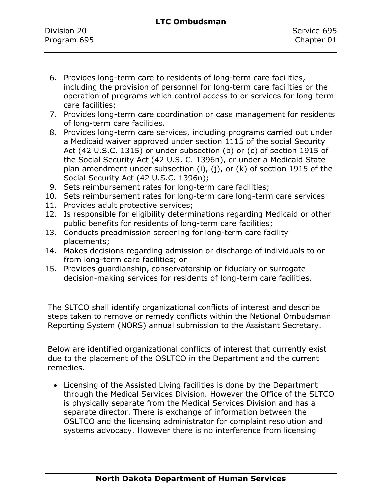- 6. Provides long-term care to residents of long-term care facilities, including the provision of personnel for long-term care facilities or the operation of programs which control access to or services for long-term care facilities;
- 7. Provides long-term care coordination or case management for residents of long-term care facilities.
- 8. Provides long-term care services, including programs carried out under a Medicaid waiver approved under section 1115 of the social Security Act (42 U.S.C. 1315) or under subsection (b) or (c) of section 1915 of the Social Security Act (42 U.S. C. 1396n), or under a Medicaid State plan amendment under subsection (i), (j), or (k) of section 1915 of the Social Security Act (42 U.S.C. 1396n);
- 9. Sets reimbursement rates for long-term care facilities;
- 10. Sets reimbursement rates for long-term care long-term care services
- 11. Provides adult protective services;
- 12. Is responsible for eligibility determinations regarding Medicaid or other public benefits for residents of long-term care facilities;
- 13. Conducts preadmission screening for long-term care facility placements;
- 14. Makes decisions regarding admission or discharge of individuals to or from long-term care facilities; or
- 15. Provides guardianship, conservatorship or fiduciary or surrogate decision-making services for residents of long-term care facilities.

The SLTCO shall identify organizational conflicts of interest and describe steps taken to remove or remedy conflicts within the National Ombudsman Reporting System (NORS) annual submission to the Assistant Secretary.

Below are identified organizational conflicts of interest that currently exist due to the placement of the OSLTCO in the Department and the current remedies.

• Licensing of the Assisted Living facilities is done by the Department through the Medical Services Division. However the Office of the SLTCO is physically separate from the Medical Services Division and has a separate director. There is exchange of information between the OSLTCO and the licensing administrator for complaint resolution and systems advocacy. However there is no interference from licensing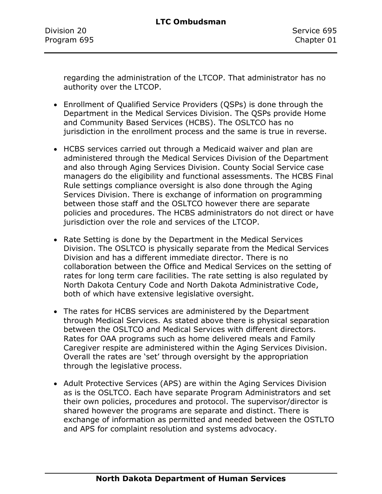Division 20 Service 695 Program 695 Chapter 01

regarding the administration of the LTCOP. That administrator has no authority over the LTCOP.

- Enrollment of Qualified Service Providers (QSPs) is done through the Department in the Medical Services Division. The QSPs provide Home and Community Based Services (HCBS). The OSLTCO has no jurisdiction in the enrollment process and the same is true in reverse.
- HCBS services carried out through a Medicaid waiver and plan are administered through the Medical Services Division of the Department and also through Aging Services Division. County Social Service case managers do the eligibility and functional assessments. The HCBS Final Rule settings compliance oversight is also done through the Aging Services Division. There is exchange of information on programming between those staff and the OSLTCO however there are separate policies and procedures. The HCBS administrators do not direct or have jurisdiction over the role and services of the LTCOP.
- Rate Setting is done by the Department in the Medical Services Division. The OSLTCO is physically separate from the Medical Services Division and has a different immediate director. There is no collaboration between the Office and Medical Services on the setting of rates for long term care facilities. The rate setting is also regulated by North Dakota Century Code and North Dakota Administrative Code, both of which have extensive legislative oversight.
- The rates for HCBS services are administered by the Department through Medical Services. As stated above there is physical separation between the OSLTCO and Medical Services with different directors. Rates for OAA programs such as home delivered meals and Family Caregiver respite are administered within the Aging Services Division. Overall the rates are 'set' through oversight by the appropriation through the legislative process.
- Adult Protective Services (APS) are within the Aging Services Division as is the OSLTCO. Each have separate Program Administrators and set their own policies, procedures and protocol. The supervisor/director is shared however the programs are separate and distinct. There is exchange of information as permitted and needed between the OSTLTO and APS for complaint resolution and systems advocacy.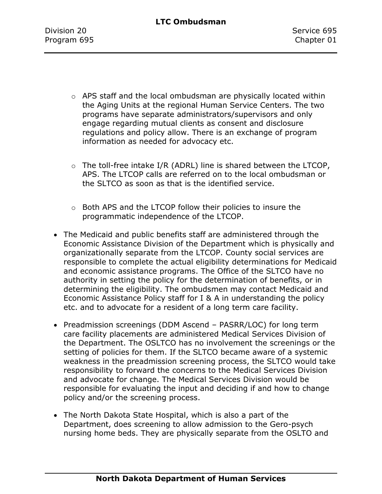- o APS staff and the local ombudsman are physically located within the Aging Units at the regional Human Service Centers. The two programs have separate administrators/supervisors and only engage regarding mutual clients as consent and disclosure regulations and policy allow. There is an exchange of program information as needed for advocacy etc.
- $\circ$  The toll-free intake I/R (ADRL) line is shared between the LTCOP, APS. The LTCOP calls are referred on to the local ombudsman or the SLTCO as soon as that is the identified service.
- o Both APS and the LTCOP follow their policies to insure the programmatic independence of the LTCOP.
- The Medicaid and public benefits staff are administered through the Economic Assistance Division of the Department which is physically and organizationally separate from the LTCOP. County social services are responsible to complete the actual eligibility determinations for Medicaid and economic assistance programs. The Office of the SLTCO have no authority in setting the policy for the determination of benefits, or in determining the eligibility. The ombudsmen may contact Medicaid and Economic Assistance Policy staff for I & A in understanding the policy etc. and to advocate for a resident of a long term care facility.
- Preadmission screenings (DDM Ascend PASRR/LOC) for long term care facility placements are administered Medical Services Division of the Department. The OSLTCO has no involvement the screenings or the setting of policies for them. If the SLTCO became aware of a systemic weakness in the preadmission screening process, the SLTCO would take responsibility to forward the concerns to the Medical Services Division and advocate for change. The Medical Services Division would be responsible for evaluating the input and deciding if and how to change policy and/or the screening process.
- The North Dakota State Hospital, which is also a part of the Department, does screening to allow admission to the Gero-psych nursing home beds. They are physically separate from the OSLTO and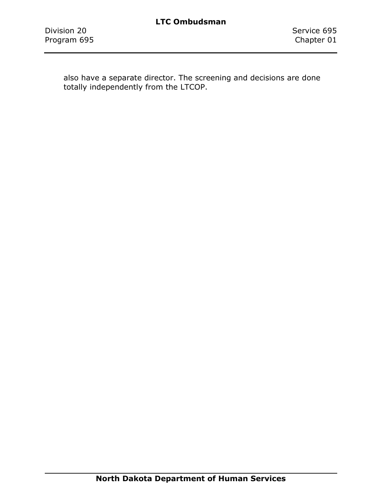also have a separate director. The screening and decisions are done totally independently from the LTCOP.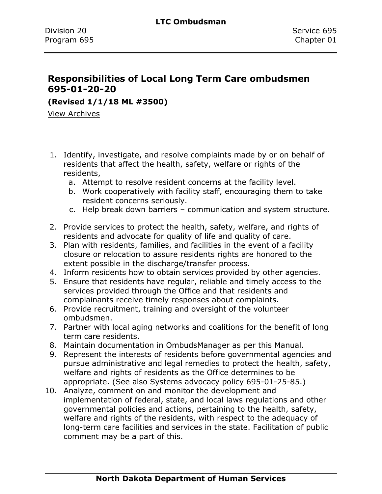### <span id="page-31-0"></span>**Responsibilities of Local Long Term Care ombudsmen 695-01-20-20**

**(Revised 1/1/18 ML #3500)**

[View Archives](../../../Content/Archive%20Documents/Archives.htm#695_01_20_20)

- 1. Identify, investigate, and resolve complaints made by or on behalf of residents that affect the health, safety, welfare or rights of the residents,
	- a. Attempt to resolve resident concerns at the facility level.
	- b. Work cooperatively with facility staff, encouraging them to take resident concerns seriously.
	- c. Help break down barriers communication and system structure.
- 2. Provide services to protect the health, safety, welfare, and rights of residents and advocate for quality of life and quality of care.
- 3. Plan with residents, families, and facilities in the event of a facility closure or relocation to assure residents rights are honored to the extent possible in the discharge/transfer process.
- 4. Inform residents how to obtain services provided by other agencies.
- 5. Ensure that residents have regular, reliable and timely access to the services provided through the Office and that residents and complainants receive timely responses about complaints.
- 6. Provide recruitment, training and oversight of the volunteer ombudsmen.
- 7. Partner with local aging networks and coalitions for the benefit of long term care residents.
- 8. Maintain documentation in OmbudsManager as per this Manual.
- 9. Represent the interests of residents before governmental agencies and pursue administrative and legal remedies to protect the health, safety, welfare and rights of residents as the Office determines to be appropriate. (See also Systems advocacy policy 695-01-25-85.)
- 10. Analyze, comment on and monitor the development and implementation of federal, state, and local laws regulations and other governmental policies and actions, pertaining to the health, safety, welfare and rights of the residents, with respect to the adequacy of long-term care facilities and services in the state. Facilitation of public comment may be a part of this.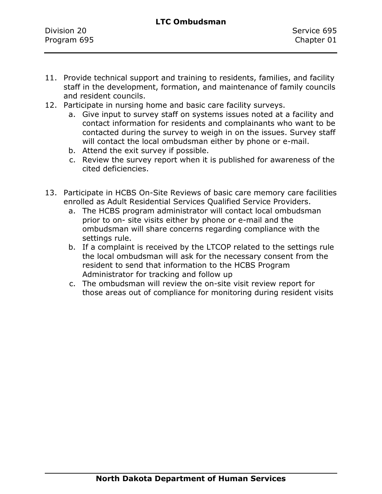#### **LTC Ombudsman**

| Division 20 | Service 695 |
|-------------|-------------|
| Program 695 | Chapter 01  |
|             |             |

- 11. Provide technical support and training to residents, families, and facility staff in the development, formation, and maintenance of family councils and resident councils.
- 12. Participate in nursing home and basic care facility surveys.
	- a. Give input to survey staff on systems issues noted at a facility and contact information for residents and complainants who want to be contacted during the survey to weigh in on the issues. Survey staff will contact the local ombudsman either by phone or e-mail.
	- b. Attend the exit survey if possible.
	- c. Review the survey report when it is published for awareness of the cited deficiencies.
- 13. Participate in HCBS On-Site Reviews of basic care memory care facilities enrolled as Adult Residential Services Qualified Service Providers.
	- a. The HCBS program administrator will contact local ombudsman prior to on- site visits either by phone or e-mail and the ombudsman will share concerns regarding compliance with the settings rule.
	- b. If a complaint is received by the LTCOP related to the settings rule the local ombudsman will ask for the necessary consent from the resident to send that information to the HCBS Program Administrator for tracking and follow up
	- c. The ombudsman will review the on-site visit review report for those areas out of compliance for monitoring during resident visits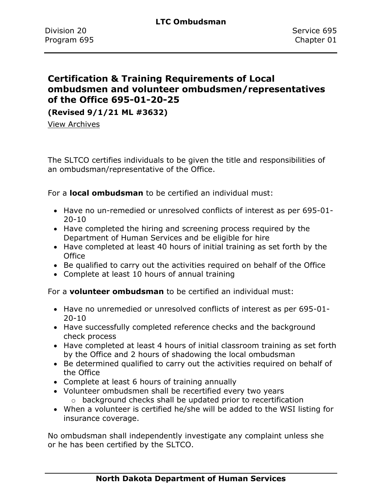### <span id="page-33-0"></span>**Certification & Training Requirements of Local ombudsmen and volunteer ombudsmen/representatives of the Office 695-01-20-25**

**(Revised 9/1/21 ML #3632)**

[View Archives](../../../Content/Archive%20Documents/Archives.htm#695_01_20_25)

The SLTCO certifies individuals to be given the title and responsibilities of an ombudsman/representative of the Office.

For a **local ombudsman** to be certified an individual must:

- Have no un-remedied or unresolved conflicts of interest as per 695-01- 20-10
- Have completed the hiring and screening process required by the Department of Human Services and be eligible for hire
- Have completed at least 40 hours of initial training as set forth by the **Office**
- Be qualified to carry out the activities required on behalf of the Office
- Complete at least 10 hours of annual training

For a **volunteer ombudsman** to be certified an individual must:

- Have no unremedied or unresolved conflicts of interest as per 695-01- 20-10
- Have successfully completed reference checks and the background check process
- Have completed at least 4 hours of initial classroom training as set forth by the Office and 2 hours of shadowing the local ombudsman
- Be determined qualified to carry out the activities required on behalf of the Office
- Complete at least 6 hours of training annually
- Volunteer ombudsmen shall be recertified every two years o background checks shall be updated prior to recertification
- When a volunteer is certified he/she will be added to the WSI listing for insurance coverage.

No ombudsman shall independently investigate any complaint unless she or he has been certified by the SLTCO.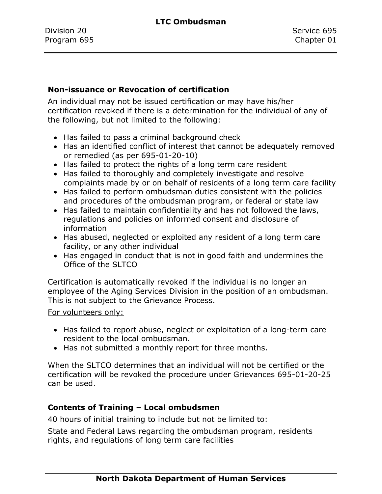#### **Non-issuance or Revocation of certification**

An individual may not be issued certification or may have his/her certification revoked if there is a determination for the individual of any of the following, but not limited to the following:

- Has failed to pass a criminal background check
- Has an identified conflict of interest that cannot be adequately removed or remedied (as per 695-01-20-10)
- Has failed to protect the rights of a long term care resident
- Has failed to thoroughly and completely investigate and resolve complaints made by or on behalf of residents of a long term care facility
- Has failed to perform ombudsman duties consistent with the policies and procedures of the ombudsman program, or federal or state law
- Has failed to maintain confidentiality and has not followed the laws, regulations and policies on informed consent and disclosure of information
- Has abused, neglected or exploited any resident of a long term care facility, or any other individual
- Has engaged in conduct that is not in good faith and undermines the Office of the SLTCO

Certification is automatically revoked if the individual is no longer an employee of the Aging Services Division in the position of an ombudsman. This is not subject to the Grievance Process.

#### For volunteers only:

- Has failed to report abuse, neglect or exploitation of a long-term care resident to the local ombudsman.
- Has not submitted a monthly report for three months.

When the SLTCO determines that an individual will not be certified or the certification will be revoked the procedure under Grievances 695-01-20-25 can be used.

### **Contents of Training – Local ombudsmen**

40 hours of initial training to include but not be limited to:

State and Federal Laws regarding the ombudsman program, residents rights, and regulations of long term care facilities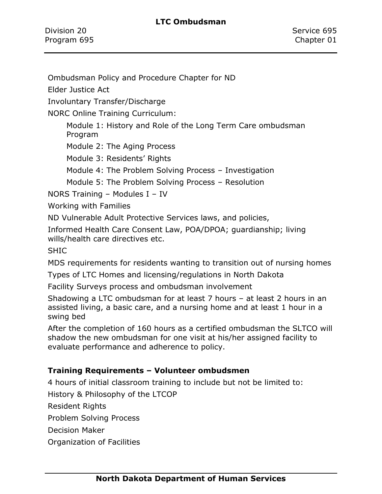#### **LTC Ombudsman**

Division 20 Service 695 Program 695 Chapter 01

Ombudsman Policy and Procedure Chapter for ND

Elder Justice Act

Involuntary Transfer/Discharge

NORC Online Training Curriculum:

Module 1: History and Role of the Long Term Care ombudsman Program

Module 2: The Aging Process

Module 3: Residents' Rights

Module 4: The Problem Solving Process – Investigation

Module 5: The Problem Solving Process – Resolution

NORS Training – Modules I – IV

Working with Families

ND Vulnerable Adult Protective Services laws, and policies,

Informed Health Care Consent Law, POA/DPOA; guardianship; living wills/health care directives etc.

SHIC

MDS requirements for residents wanting to transition out of nursing homes

Types of LTC Homes and licensing/regulations in North Dakota

Facility Surveys process and ombudsman involvement

Shadowing a LTC ombudsman for at least 7 hours – at least 2 hours in an assisted living, a basic care, and a nursing home and at least 1 hour in a swing bed

After the completion of 160 hours as a certified ombudsman the SLTCO will shadow the new ombudsman for one visit at his/her assigned facility to evaluate performance and adherence to policy.

### **Training Requirements – Volunteer ombudsmen**

4 hours of initial classroom training to include but not be limited to:

History & Philosophy of the LTCOP

Resident Rights

Problem Solving Process

Decision Maker

Organization of Facilities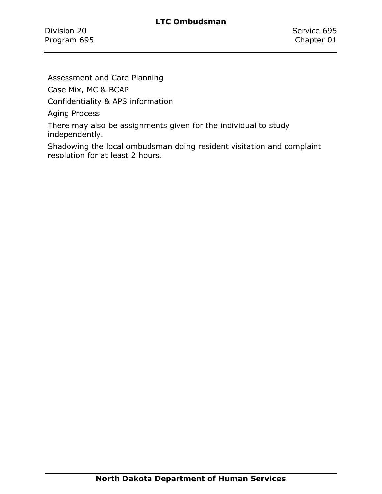Assessment and Care Planning

Case Mix, MC & BCAP

Confidentiality & APS information

Aging Process

There may also be assignments given for the individual to study independently.

Shadowing the local ombudsman doing resident visitation and complaint resolution for at least 2 hours.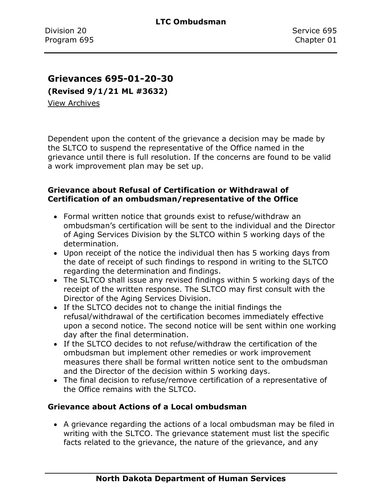#### **Grievances 695-01-20-30**

**(Revised 9/1/21 ML #3632)**

[View Archives](../../../Content/Archive%20Documents/Archives.htm#695_01_20_30)

Dependent upon the content of the grievance a decision may be made by the SLTCO to suspend the representative of the Office named in the grievance until there is full resolution. If the concerns are found to be valid a work improvement plan may be set up.

#### **Grievance about Refusal of Certification or Withdrawal of Certification of an ombudsman/representative of the Office**

- Formal written notice that grounds exist to refuse/withdraw an ombudsman's certification will be sent to the individual and the Director of Aging Services Division by the SLTCO within 5 working days of the determination.
- Upon receipt of the notice the individual then has 5 working days from the date of receipt of such findings to respond in writing to the SLTCO regarding the determination and findings.
- The SLTCO shall issue any revised findings within 5 working days of the receipt of the written response. The SLTCO may first consult with the Director of the Aging Services Division.
- If the SLTCO decides not to change the initial findings the refusal/withdrawal of the certification becomes immediately effective upon a second notice. The second notice will be sent within one working day after the final determination.
- If the SLTCO decides to not refuse/withdraw the certification of the ombudsman but implement other remedies or work improvement measures there shall be formal written notice sent to the ombudsman and the Director of the decision within 5 working days.
- The final decision to refuse/remove certification of a representative of the Office remains with the SLTCO.

#### **Grievance about Actions of a Local ombudsman**

• A grievance regarding the actions of a local ombudsman may be filed in writing with the SLTCO. The grievance statement must list the specific facts related to the grievance, the nature of the grievance, and any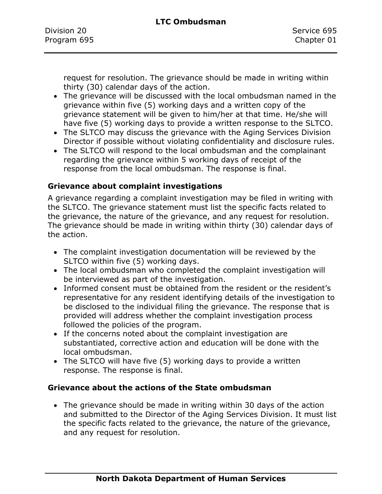request for resolution. The grievance should be made in writing within thirty (30) calendar days of the action.

- The grievance will be discussed with the local ombudsman named in the grievance within five (5) working days and a written copy of the grievance statement will be given to him/her at that time. He/she will have five (5) working days to provide a written response to the SLTCO.
- The SLTCO may discuss the grievance with the Aging Services Division Director if possible without violating confidentiality and disclosure rules.
- The SLTCO will respond to the local ombudsman and the complainant regarding the grievance within 5 working days of receipt of the response from the local ombudsman. The response is final.

#### **Grievance about complaint investigations**

A grievance regarding a complaint investigation may be filed in writing with the SLTCO. The grievance statement must list the specific facts related to the grievance, the nature of the grievance, and any request for resolution. The grievance should be made in writing within thirty (30) calendar days of the action.

- The complaint investigation documentation will be reviewed by the SLTCO within five (5) working days.
- The local ombudsman who completed the complaint investigation will be interviewed as part of the investigation.
- Informed consent must be obtained from the resident or the resident's representative for any resident identifying details of the investigation to be disclosed to the individual filing the grievance. The response that is provided will address whether the complaint investigation process followed the policies of the program.
- If the concerns noted about the complaint investigation are substantiated, corrective action and education will be done with the local ombudsman.
- The SLTCO will have five (5) working days to provide a written response. The response is final.

#### **Grievance about the actions of the State ombudsman**

• The grievance should be made in writing within 30 days of the action and submitted to the Director of the Aging Services Division. It must list the specific facts related to the grievance, the nature of the grievance, and any request for resolution.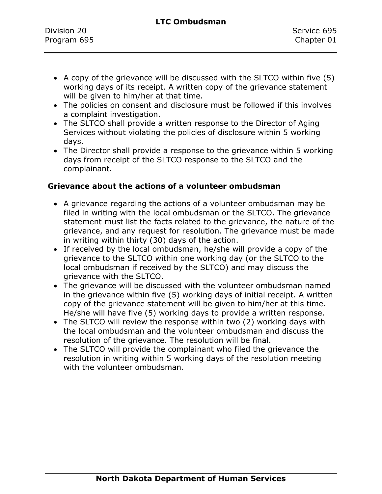- A copy of the grievance will be discussed with the SLTCO within five (5) working days of its receipt. A written copy of the grievance statement will be given to him/her at that time.
- The policies on consent and disclosure must be followed if this involves a complaint investigation.
- The SLTCO shall provide a written response to the Director of Aging Services without violating the policies of disclosure within 5 working days.
- The Director shall provide a response to the grievance within 5 working days from receipt of the SLTCO response to the SLTCO and the complainant.

#### **Grievance about the actions of a volunteer ombudsman**

- A grievance regarding the actions of a volunteer ombudsman may be filed in writing with the local ombudsman or the SLTCO. The grievance statement must list the facts related to the grievance, the nature of the grievance, and any request for resolution. The grievance must be made in writing within thirty (30) days of the action.
- If received by the local ombudsman, he/she will provide a copy of the grievance to the SLTCO within one working day (or the SLTCO to the local ombudsman if received by the SLTCO) and may discuss the grievance with the SLTCO.
- The grievance will be discussed with the volunteer ombudsman named in the grievance within five (5) working days of initial receipt. A written copy of the grievance statement will be given to him/her at this time. He/she will have five (5) working days to provide a written response.
- The SLTCO will review the response within two (2) working days with the local ombudsman and the volunteer ombudsman and discuss the resolution of the grievance. The resolution will be final.
- The SLTCO will provide the complainant who filed the grievance the resolution in writing within 5 working days of the resolution meeting with the volunteer ombudsman.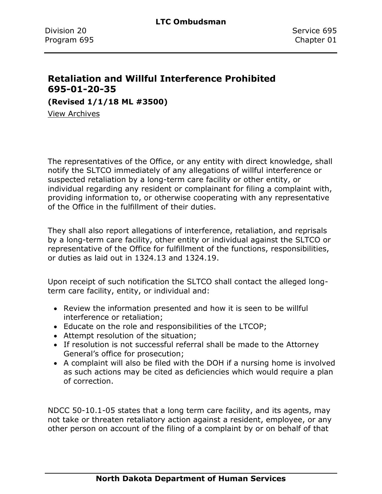# **Retaliation and Willful Interference Prohibited 695-01-20-35**

**(Revised 1/1/18 ML #3500)**

[View Archives](../../../Content/Archive%20Documents/Archives.htm#695_01_20_35)

The representatives of the Office, or any entity with direct knowledge, shall notify the SLTCO immediately of any allegations of willful interference or suspected retaliation by a long-term care facility or other entity, or individual regarding any resident or complainant for filing a complaint with, providing information to, or otherwise cooperating with any representative of the Office in the fulfillment of their duties.

They shall also report allegations of interference, retaliation, and reprisals by a long-term care facility, other entity or individual against the SLTCO or representative of the Office for fulfillment of the functions, responsibilities, or duties as laid out in 1324.13 and 1324.19.

Upon receipt of such notification the SLTCO shall contact the alleged longterm care facility, entity, or individual and:

- Review the information presented and how it is seen to be willful interference or retaliation;
- Educate on the role and responsibilities of the LTCOP;
- Attempt resolution of the situation;
- If resolution is not successful referral shall be made to the Attorney General's office for prosecution;
- A complaint will also be filed with the DOH if a nursing home is involved as such actions may be cited as deficiencies which would require a plan of correction.

NDCC 50-10.1-05 states that a long term care facility, and its agents, may not take or threaten retaliatory action against a resident, employee, or any other person on account of the filing of a complaint by or on behalf of that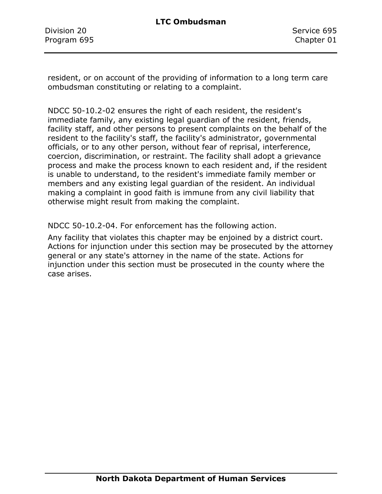Division 20 Service 695 Program 695 Chapter 01

resident, or on account of the providing of information to a long term care ombudsman constituting or relating to a complaint.

NDCC 50-10.2-02 ensures the right of each resident, the resident's immediate family, any existing legal guardian of the resident, friends, facility staff, and other persons to present complaints on the behalf of the resident to the facility's staff, the facility's administrator, governmental officials, or to any other person, without fear of reprisal, interference, coercion, discrimination, or restraint. The facility shall adopt a grievance process and make the process known to each resident and, if the resident is unable to understand, to the resident's immediate family member or members and any existing legal guardian of the resident. An individual making a complaint in good faith is immune from any civil liability that otherwise might result from making the complaint.

NDCC 50-10.2-04. For enforcement has the following action.

Any facility that violates this chapter may be enjoined by a district court. Actions for injunction under this section may be prosecuted by the attorney general or any state's attorney in the name of the state. Actions for injunction under this section must be prosecuted in the county where the case arises.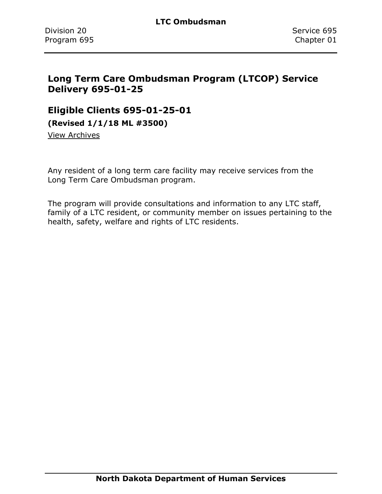# **Long Term Care Ombudsman Program (LTCOP) Service Delivery 695-01-25**

#### **Eligible Clients 695-01-25-01**

**(Revised 1/1/18 ML #3500)**

[View Archives](../../../Content/Archive%20Documents/Archives.htm#695_01_25_01)

Any resident of a long term care facility may receive services from the Long Term Care Ombudsman program.

The program will provide consultations and information to any LTC staff, family of a LTC resident, or community member on issues pertaining to the health, safety, welfare and rights of LTC residents.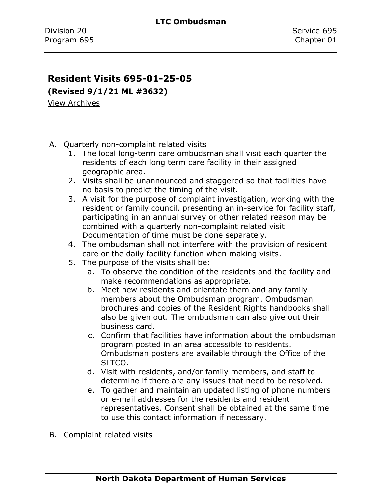#### **Resident Visits 695-01-25-05**

**(Revised 9/1/21 ML #3632)**

[View Archives](../../../Content/Archive%20Documents/Archives.htm#695_01_25_05)

- A. Quarterly non-complaint related visits
	- 1. The local long-term care ombudsman shall visit each quarter the residents of each long term care facility in their assigned geographic area.
	- 2. Visits shall be unannounced and staggered so that facilities have no basis to predict the timing of the visit.
	- 3. A visit for the purpose of complaint investigation, working with the resident or family council, presenting an in-service for facility staff, participating in an annual survey or other related reason may be combined with a quarterly non-complaint related visit. Documentation of time must be done separately.
	- 4. The ombudsman shall not interfere with the provision of resident care or the daily facility function when making visits.
	- 5. The purpose of the visits shall be:
		- a. To observe the condition of the residents and the facility and make recommendations as appropriate.
		- b. Meet new residents and orientate them and any family members about the Ombudsman program. Ombudsman brochures and copies of the Resident Rights handbooks shall also be given out. The ombudsman can also give out their business card.
		- c. Confirm that facilities have information about the ombudsman program posted in an area accessible to residents. Ombudsman posters are available through the Office of the SLTCO.
		- d. Visit with residents, and/or family members, and staff to determine if there are any issues that need to be resolved.
		- e. To gather and maintain an updated listing of phone numbers or e-mail addresses for the residents and resident representatives. Consent shall be obtained at the same time to use this contact information if necessary.
- B. Complaint related visits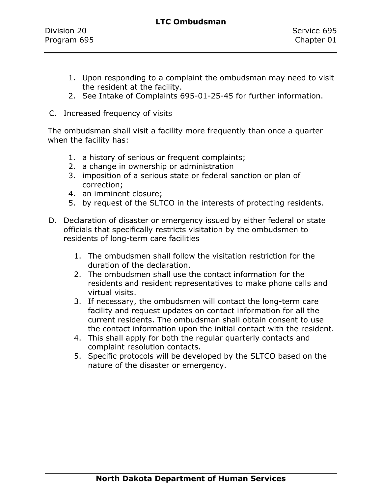- 1. Upon responding to a complaint the ombudsman may need to visit the resident at the facility.
- 2. See Intake of Complaints 695-01-25-45 for further information.
- C. Increased frequency of visits

The ombudsman shall visit a facility more frequently than once a quarter when the facility has:

- 1. a history of serious or frequent complaints;
- 2. a change in ownership or administration
- 3. imposition of a serious state or federal sanction or plan of correction;
- 4. an imminent closure;
- 5. by request of the SLTCO in the interests of protecting residents.
- D. Declaration of disaster or emergency issued by either federal or state officials that specifically restricts visitation by the ombudsmen to residents of long-term care facilities
	- 1. The ombudsmen shall follow the visitation restriction for the duration of the declaration.
	- 2. The ombudsmen shall use the contact information for the residents and resident representatives to make phone calls and virtual visits.
	- 3. If necessary, the ombudsmen will contact the long-term care facility and request updates on contact information for all the current residents. The ombudsman shall obtain consent to use the contact information upon the initial contact with the resident.
	- 4. This shall apply for both the regular quarterly contacts and complaint resolution contacts.
	- 5. Specific protocols will be developed by the SLTCO based on the nature of the disaster or emergency.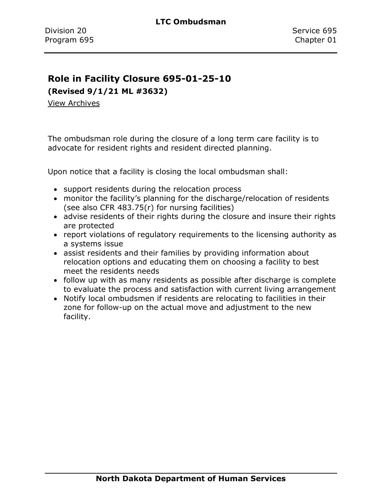#### **Role in Facility Closure 695-01-25-10**

**(Revised 9/1/21 ML #3632)**

[View Archives](../../../Content/Archive%20Documents/Archives.htm#695_01_25_10)

The ombudsman role during the closure of a long term care facility is to advocate for resident rights and resident directed planning.

Upon notice that a facility is closing the local ombudsman shall:

- support residents during the relocation process
- monitor the facility's planning for the discharge/relocation of residents (see also CFR 483.75(r) for nursing facilities)
- advise residents of their rights during the closure and insure their rights are protected
- report violations of regulatory requirements to the licensing authority as a systems issue
- assist residents and their families by providing information about relocation options and educating them on choosing a facility to best meet the residents needs
- follow up with as many residents as possible after discharge is complete to evaluate the process and satisfaction with current living arrangement
- Notify local ombudsmen if residents are relocating to facilities in their zone for follow-up on the actual move and adjustment to the new facility.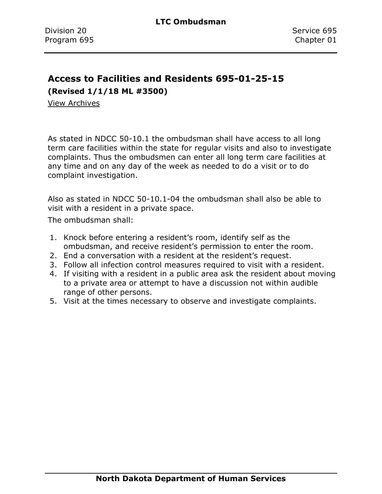# **Access to Facilities and Residents 695-01-25-15**

**(Revised 1/1/18 ML #3500)**

[View Archives](../../../Content/Archive%20Documents/Archives.htm#695_01_25_15)

As stated in NDCC 50-10.1 the ombudsman shall have access to all long term care facilities within the state for regular visits and also to investigate complaints. Thus the ombudsmen can enter all long term care facilities at any time and on any day of the week as needed to do a visit or to do complaint investigation.

Also as stated in NDCC 50-10.1-04 the ombudsman shall also be able to visit with a resident in a private space.

The ombudsman shall:

- 1. Knock before entering a resident's room, identify self as the ombudsman, and receive resident's permission to enter the room.
- 2. End a conversation with a resident at the resident's request.
- 3. Follow all infection control measures required to visit with a resident.
- 4. If visiting with a resident in a public area ask the resident about moving to a private area or attempt to have a discussion not within audible range of other persons.
- 5. Visit at the times necessary to observe and investigate complaints.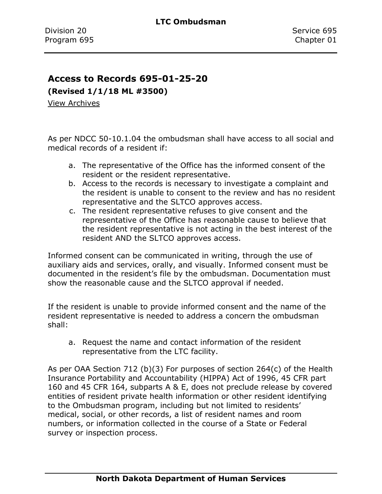#### **Access to Records 695-01-25-20**

**(Revised 1/1/18 ML #3500)**

[View Archives](../../../Content/Archive%20Documents/Archives.htm#695_01_25_20)

As per NDCC 50-10.1.04 the ombudsman shall have access to all social and medical records of a resident if:

- a. The representative of the Office has the informed consent of the resident or the resident representative.
- b. Access to the records is necessary to investigate a complaint and the resident is unable to consent to the review and has no resident representative and the SLTCO approves access.
- c. The resident representative refuses to give consent and the representative of the Office has reasonable cause to believe that the resident representative is not acting in the best interest of the resident AND the SLTCO approves access.

Informed consent can be communicated in writing, through the use of auxiliary aids and services, orally, and visually. Informed consent must be documented in the resident's file by the ombudsman. Documentation must show the reasonable cause and the SLTCO approval if needed.

If the resident is unable to provide informed consent and the name of the resident representative is needed to address a concern the ombudsman shall:

a. Request the name and contact information of the resident representative from the LTC facility.

As per OAA Section 712 (b)(3) For purposes of section 264(c) of the Health Insurance Portability and Accountability (HIPPA) Act of 1996, 45 CFR part 160 and 45 CFR 164, subparts A & E, does not preclude release by covered entities of resident private health information or other resident identifying to the Ombudsman program, including but not limited to residents' medical, social, or other records, a list of resident names and room numbers, or information collected in the course of a State or Federal survey or inspection process.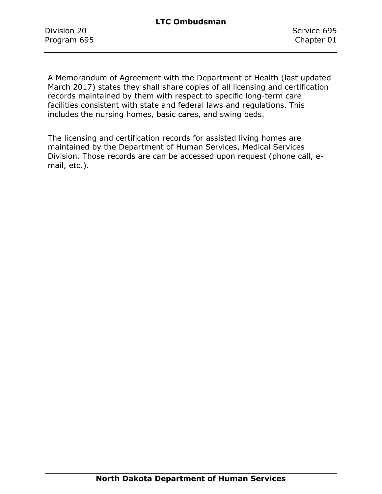Division 20 Service 695 Program 695 Chapter 01

A Memorandum of Agreement with the Department of Health (last updated March 2017) states they shall share copies of all licensing and certification records maintained by them with respect to specific long-term care facilities consistent with state and federal laws and regulations. This includes the nursing homes, basic cares, and swing beds.

The licensing and certification records for assisted living homes are maintained by the Department of Human Services, Medical Services Division. Those records are can be accessed upon request (phone call, email, etc.).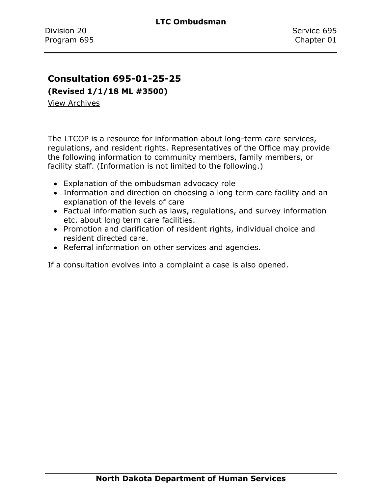#### **Consultation 695-01-25-25**

**(Revised 1/1/18 ML #3500)**

[View Archives](../../../Content/Archive%20Documents/Archives.htm#695_01_25_25)

The LTCOP is a resource for information about long-term care services, regulations, and resident rights. Representatives of the Office may provide the following information to community members, family members, or facility staff. (Information is not limited to the following.)

- Explanation of the ombudsman advocacy role
- Information and direction on choosing a long term care facility and an explanation of the levels of care
- Factual information such as laws, regulations, and survey information etc. about long term care facilities.
- Promotion and clarification of resident rights, individual choice and resident directed care.
- Referral information on other services and agencies.

If a consultation evolves into a complaint a case is also opened.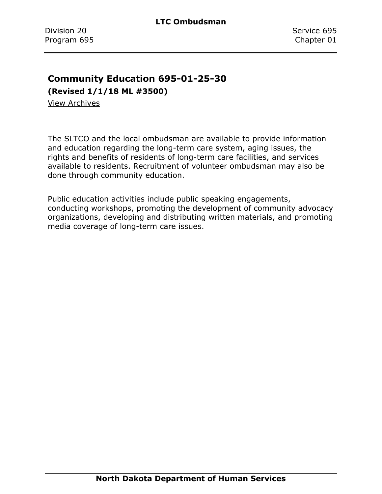#### **Community Education 695-01-25-30**

**(Revised 1/1/18 ML #3500)**

[View Archives](../../../Content/Archive%20Documents/Archives.htm#695_01_25_30)

The SLTCO and the local ombudsman are available to provide information and education regarding the long-term care system, aging issues, the rights and benefits of residents of long-term care facilities, and services available to residents. Recruitment of volunteer ombudsman may also be done through community education.

Public education activities include public speaking engagements, conducting workshops, promoting the development of community advocacy organizations, developing and distributing written materials, and promoting media coverage of long-term care issues.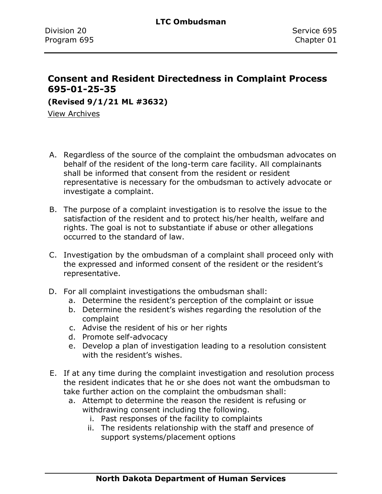### **Consent and Resident Directedness in Complaint Process 695-01-25-35**

**(Revised 9/1/21 ML #3632)**

[View Archives](../../../Content/Archive%20Documents/Archives.htm#695_01_25_35)

- A. Regardless of the source of the complaint the ombudsman advocates on behalf of the resident of the long-term care facility. All complainants shall be informed that consent from the resident or resident representative is necessary for the ombudsman to actively advocate or investigate a complaint.
- B. The purpose of a complaint investigation is to resolve the issue to the satisfaction of the resident and to protect his/her health, welfare and rights. The goal is not to substantiate if abuse or other allegations occurred to the standard of law.
- C. Investigation by the ombudsman of a complaint shall proceed only with the expressed and informed consent of the resident or the resident's representative.
- D. For all complaint investigations the ombudsman shall:
	- a. Determine the resident's perception of the complaint or issue
	- b. Determine the resident's wishes regarding the resolution of the complaint
	- c. Advise the resident of his or her rights
	- d. Promote self-advocacy
	- e. Develop a plan of investigation leading to a resolution consistent with the resident's wishes.
- E. If at any time during the complaint investigation and resolution process the resident indicates that he or she does not want the ombudsman to take further action on the complaint the ombudsman shall:
	- a. Attempt to determine the reason the resident is refusing or withdrawing consent including the following.
		- i. Past responses of the facility to complaints
		- ii. The residents relationship with the staff and presence of support systems/placement options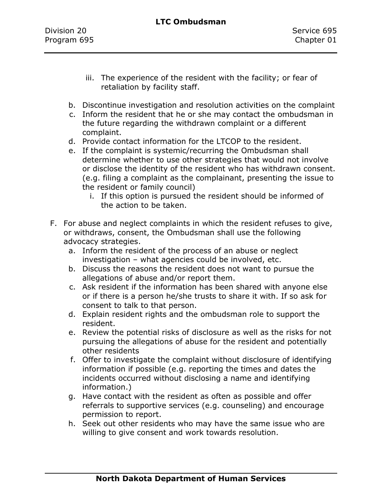| Division 20 |  |
|-------------|--|
| Program 695 |  |

- iii. The experience of the resident with the facility; or fear of retaliation by facility staff.
- b. Discontinue investigation and resolution activities on the complaint
- c. Inform the resident that he or she may contact the ombudsman in the future regarding the withdrawn complaint or a different complaint.
- d. Provide contact information for the LTCOP to the resident.
- e. If the complaint is systemic/recurring the Ombudsman shall determine whether to use other strategies that would not involve or disclose the identity of the resident who has withdrawn consent. (e.g. filing a complaint as the complainant, presenting the issue to the resident or family council)
	- i. If this option is pursued the resident should be informed of the action to be taken.
- F. For abuse and neglect complaints in which the resident refuses to give, or withdraws, consent, the Ombudsman shall use the following advocacy strategies.
	- a. Inform the resident of the process of an abuse or neglect investigation – what agencies could be involved, etc.
	- b. Discuss the reasons the resident does not want to pursue the allegations of abuse and/or report them.
	- c. Ask resident if the information has been shared with anyone else or if there is a person he/she trusts to share it with. If so ask for consent to talk to that person.
	- d. Explain resident rights and the ombudsman role to support the resident.
	- e. Review the potential risks of disclosure as well as the risks for not pursuing the allegations of abuse for the resident and potentially other residents
	- f. Offer to investigate the complaint without disclosure of identifying information if possible (e.g. reporting the times and dates the incidents occurred without disclosing a name and identifying information.)
	- g. Have contact with the resident as often as possible and offer referrals to supportive services (e.g. counseling) and encourage permission to report.
	- h. Seek out other residents who may have the same issue who are willing to give consent and work towards resolution.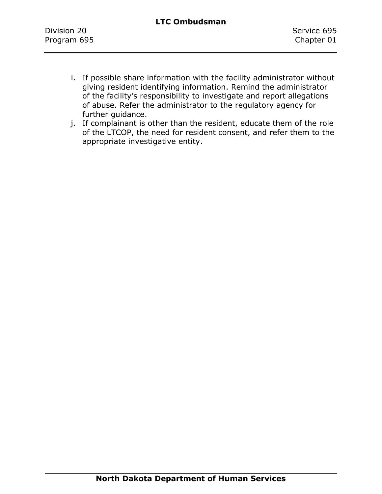- i. If possible share information with the facility administrator without giving resident identifying information. Remind the administrator of the facility's responsibility to investigate and report allegations of abuse. Refer the administrator to the regulatory agency for further guidance.
- j. If complainant is other than the resident, educate them of the role of the LTCOP, the need for resident consent, and refer them to the appropriate investigative entity.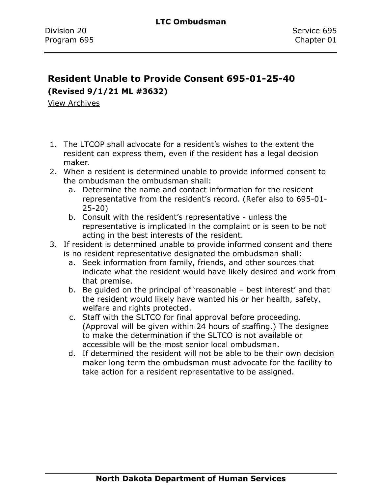# **Resident Unable to Provide Consent 695-01-25-40**

**(Revised 9/1/21 ML #3632)**

[View Archives](../../../Content/Archive%20Documents/Archives.htm#695_01_25_40)

- 1. The LTCOP shall advocate for a resident's wishes to the extent the resident can express them, even if the resident has a legal decision maker.
- 2. When a resident is determined unable to provide informed consent to the ombudsman the ombudsman shall:
	- a. Determine the name and contact information for the resident representative from the resident's record. (Refer also to 695-01- 25-20)
	- b. Consult with the resident's representative unless the representative is implicated in the complaint or is seen to be not acting in the best interests of the resident.
- 3. If resident is determined unable to provide informed consent and there is no resident representative designated the ombudsman shall:
	- a. Seek information from family, friends, and other sources that indicate what the resident would have likely desired and work from that premise.
	- b. Be guided on the principal of 'reasonable best interest' and that the resident would likely have wanted his or her health, safety, welfare and rights protected.
	- c. Staff with the SLTCO for final approval before proceeding. (Approval will be given within 24 hours of staffing.) The designee to make the determination if the SLTCO is not available or accessible will be the most senior local ombudsman.
	- d. If determined the resident will not be able to be their own decision maker long term the ombudsman must advocate for the facility to take action for a resident representative to be assigned.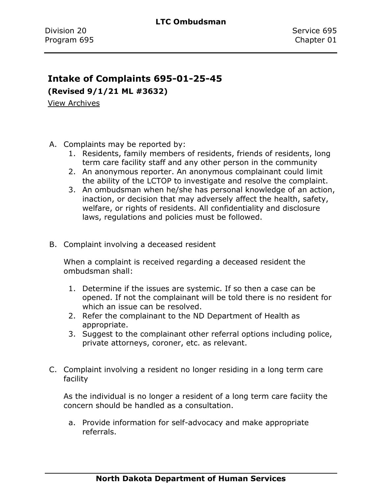#### **Intake of Complaints 695-01-25-45**

**(Revised 9/1/21 ML #3632)**

[View Archives](../../../Content/Archive%20Documents/Archives.htm#695_01_25_45)

- A. Complaints may be reported by:
	- 1. Residents, family members of residents, friends of residents, long term care facility staff and any other person in the community
	- 2. An anonymous reporter. An anonymous complainant could limit the ability of the LCTOP to investigate and resolve the complaint.
	- 3. An ombudsman when he/she has personal knowledge of an action, inaction, or decision that may adversely affect the health, safety, welfare, or rights of residents. All confidentiality and disclosure laws, regulations and policies must be followed.
- B. Complaint involving a deceased resident

When a complaint is received regarding a deceased resident the ombudsman shall:

- 1. Determine if the issues are systemic. If so then a case can be opened. If not the complainant will be told there is no resident for which an issue can be resolved.
- 2. Refer the complainant to the ND Department of Health as appropriate.
- 3. Suggest to the complainant other referral options including police, private attorneys, coroner, etc. as relevant.
- C. Complaint involving a resident no longer residing in a long term care facility

As the individual is no longer a resident of a long term care faciity the concern should be handled as a consultation.

a. Provide information for self-advocacy and make appropriate referrals.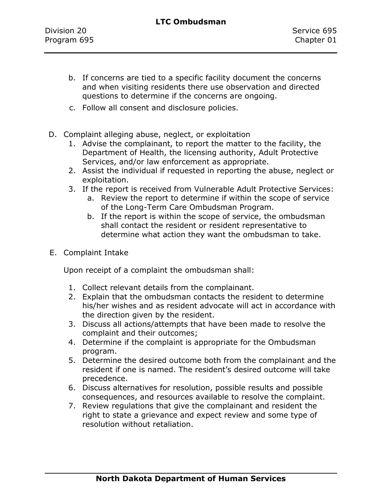- b. If concerns are tied to a specific facility document the concerns and when visiting residents there use observation and directed questions to determine if the concerns are ongoing.
- c. Follow all consent and disclosure policies.
- D. Complaint alleging abuse, neglect, or exploitation
	- 1. Advise the complainant, to report the matter to the facility, the Department of Health, the licensing authority, Adult Protective Services, and/or law enforcement as appropriate.
	- 2. Assist the individual if requested in reporting the abuse, neglect or exploitation.
	- 3. If the report is received from Vulnerable Adult Protective Services:
		- a. Review the report to determine if within the scope of service of the Long-Term Care Ombudsman Program.
		- b. If the report is within the scope of service, the ombudsman shall contact the resident or resident representative to determine what action they want the ombudsman to take.
- E. Complaint Intake

Upon receipt of a complaint the ombudsman shall:

- 1. Collect relevant details from the complainant.
- 2. Explain that the ombudsman contacts the resident to determine his/her wishes and as resident advocate will act in accordance with the direction given by the resident.
- 3. Discuss all actions/attempts that have been made to resolve the complaint and their outcomes;
- 4. Determine if the complaint is appropriate for the Ombudsman program.
- 5. Determine the desired outcome both from the complainant and the resident if one is named. The resident's desired outcome will take precedence.
- 6. Discuss alternatives for resolution, possible results and possible consequences, and resources available to resolve the complaint.
- 7. Review regulations that give the complainant and resident the right to state a grievance and expect review and some type of resolution without retaliation.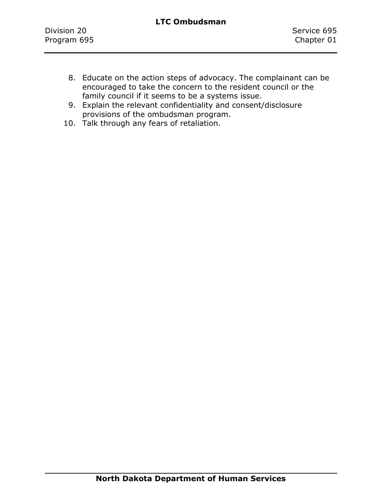- 8. Educate on the action steps of advocacy. The complainant can be encouraged to take the concern to the resident council or the family council if it seems to be a systems issue.
- 9. Explain the relevant confidentiality and consent/disclosure provisions of the ombudsman program.
- 10. Talk through any fears of retaliation.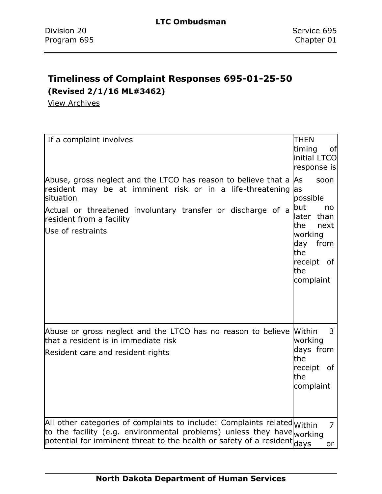# **Timeliness of Complaint Responses 695-01-25-50**

**(Revised 2/1/16 ML#3462)**

[View Archives](../../../Content/Archive%20Documents/Archives.htm#695_01_25_50)

| If a complaint involves                                                                                                                                                                                                                                         | <b>THEN</b><br>timing<br>of<br>initial LTCO<br>response is                                                                                      |
|-----------------------------------------------------------------------------------------------------------------------------------------------------------------------------------------------------------------------------------------------------------------|-------------------------------------------------------------------------------------------------------------------------------------------------|
| Abuse, gross neglect and the LTCO has reason to believe that a $ $ As<br>resident may be at imminent risk or in a life-threatening<br>situation<br>Actual or threatened involuntary transfer or discharge of a<br>resident from a facility<br>Use of restraints | soon<br>las<br>possible<br><b>but</b><br>no<br>than<br>later<br>lthe<br>next<br>working<br>day<br>from<br>the<br>receipt of<br>the<br>complaint |
| Abuse or gross neglect and the LTCO has no reason to believe Within<br>that a resident is in immediate risk<br>Resident care and resident rights                                                                                                                | 3<br>working<br>days from<br>the<br>receipt of<br>the<br>complaint                                                                              |
| All other categories of complaints to include: Complaints related Within<br>to the facility (e.g. environmental problems) unless they have working<br>potential for imminent threat to the health or safety of a resident days                                  | $\overline{7}$<br>or                                                                                                                            |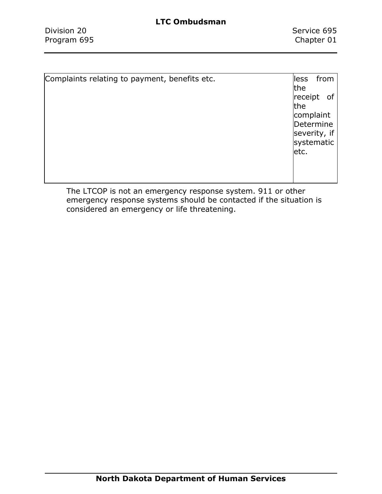| Complaints relating to payment, benefits etc. | from<br>lless<br>the<br>receipt<br>0f<br>the<br>complaint<br>Determine |
|-----------------------------------------------|------------------------------------------------------------------------|
|                                               | severity, if<br>systematic<br>etc.                                     |

The LTCOP is not an emergency response system. 911 or other emergency response systems should be contacted if the situation is considered an emergency or life threatening.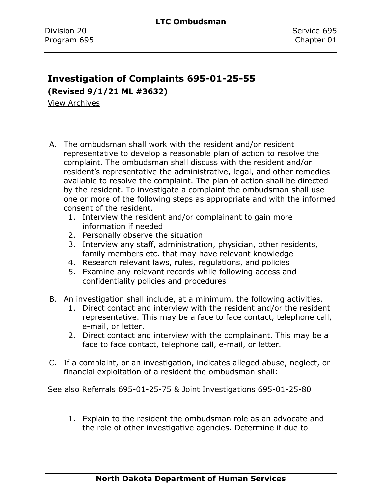# **Investigation of Complaints 695-01-25-55**

**(Revised 9/1/21 ML #3632)**

[View Archives](../../../Content/Archive%20Documents/Archives.htm#695_01_25_55)

- A. The ombudsman shall work with the resident and/or resident representative to develop a reasonable plan of action to resolve the complaint. The ombudsman shall discuss with the resident and/or resident's representative the administrative, legal, and other remedies available to resolve the complaint. The plan of action shall be directed by the resident. To investigate a complaint the ombudsman shall use one or more of the following steps as appropriate and with the informed consent of the resident.
	- 1. Interview the resident and/or complainant to gain more information if needed
	- 2. Personally observe the situation
	- 3. Interview any staff, administration, physician, other residents, family members etc. that may have relevant knowledge
	- 4. Research relevant laws, rules, regulations, and policies
	- 5. Examine any relevant records while following access and confidentiality policies and procedures
- B. An investigation shall include, at a minimum, the following activities.
	- 1. Direct contact and interview with the resident and/or the resident representative. This may be a face to face contact, telephone call, e-mail, or letter.
	- 2. Direct contact and interview with the complainant. This may be a face to face contact, telephone call, e-mail, or letter.
- C. If a complaint, or an investigation, indicates alleged abuse, neglect, or financial exploitation of a resident the ombudsman shall:

See also Referrals 695-01-25-75 & Joint Investigations 695-01-25-80

1. Explain to the resident the ombudsman role as an advocate and the role of other investigative agencies. Determine if due to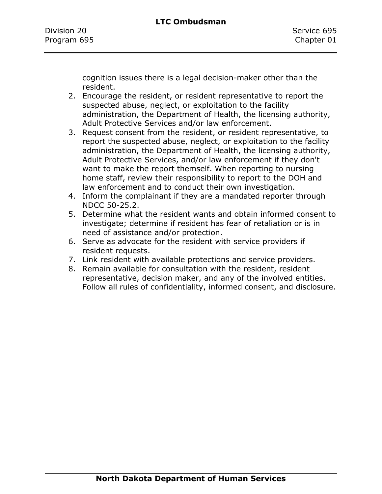cognition issues there is a legal decision-maker other than the resident.

- 2. Encourage the resident, or resident representative to report the suspected abuse, neglect, or exploitation to the facility administration, the Department of Health, the licensing authority, Adult Protective Services and/or law enforcement.
- 3. Request consent from the resident, or resident representative, to report the suspected abuse, neglect, or exploitation to the facility administration, the Department of Health, the licensing authority, Adult Protective Services, and/or law enforcement if they don't want to make the report themself. When reporting to nursing home staff, review their responsibility to report to the DOH and law enforcement and to conduct their own investigation.
- 4. Inform the complainant if they are a mandated reporter through NDCC 50-25.2.
- 5. Determine what the resident wants and obtain informed consent to investigate; determine if resident has fear of retaliation or is in need of assistance and/or protection.
- 6. Serve as advocate for the resident with service providers if resident requests.
- 7. Link resident with available protections and service providers.
- 8. Remain available for consultation with the resident, resident representative, decision maker, and any of the involved entities. Follow all rules of confidentiality, informed consent, and disclosure.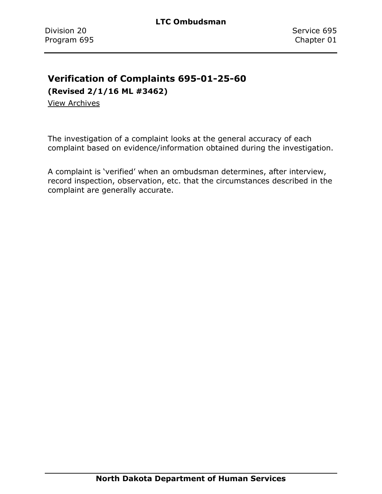# **Verification of Complaints 695-01-25-60**

**(Revised 2/1/16 ML #3462)**

View [Archives](../../../Content/Archive%20Documents/Archives.htm#695_01_25_60)

The investigation of a complaint looks at the general accuracy of each complaint based on evidence/information obtained during the investigation.

A complaint is 'verified' when an ombudsman determines, after interview, record inspection, observation, etc. that the circumstances described in the complaint are generally accurate.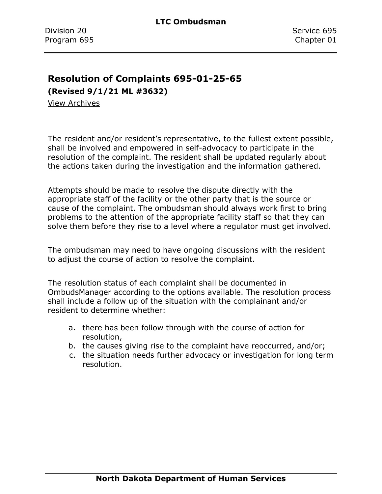#### **Resolution of Complaints 695-01-25-65**

**(Revised 9/1/21 ML #3632)**

[View Archives](../../../Content/Archive%20Documents/Archives.htm#695_01_25_65)

The resident and/or resident's representative, to the fullest extent possible, shall be involved and empowered in self-advocacy to participate in the resolution of the complaint. The resident shall be updated regularly about the actions taken during the investigation and the information gathered.

Attempts should be made to resolve the dispute directly with the appropriate staff of the facility or the other party that is the source or cause of the complaint. The ombudsman should always work first to bring problems to the attention of the appropriate facility staff so that they can solve them before they rise to a level where a regulator must get involved.

The ombudsman may need to have ongoing discussions with the resident to adjust the course of action to resolve the complaint.

The resolution status of each complaint shall be documented in OmbudsManager according to the options available. The resolution process shall include a follow up of the situation with the complainant and/or resident to determine whether:

- a. there has been follow through with the course of action for resolution,
- b. the causes giving rise to the complaint have reoccurred, and/or;
- c. the situation needs further advocacy or investigation for long term resolution.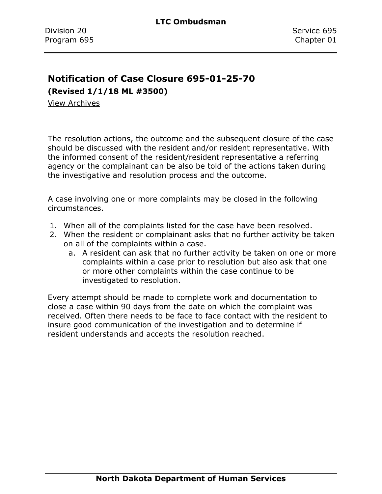# **Notification of Case Closure 695-01-25-70**

**(Revised 1/1/18 ML #3500)**

[View Archives](../../../Content/Archive%20Documents/Archives.htm#695_01_25_70)

The resolution actions, the outcome and the subsequent closure of the case should be discussed with the resident and/or resident representative. With the informed consent of the resident/resident representative a referring agency or the complainant can be also be told of the actions taken during the investigative and resolution process and the outcome.

A case involving one or more complaints may be closed in the following circumstances.

- 1. When all of the complaints listed for the case have been resolved.
- 2. When the resident or complainant asks that no further activity be taken on all of the complaints within a case.
	- a. A resident can ask that no further activity be taken on one or more complaints within a case prior to resolution but also ask that one or more other complaints within the case continue to be investigated to resolution.

Every attempt should be made to complete work and documentation to close a case within 90 days from the date on which the complaint was received. Often there needs to be face to face contact with the resident to insure good communication of the investigation and to determine if resident understands and accepts the resolution reached.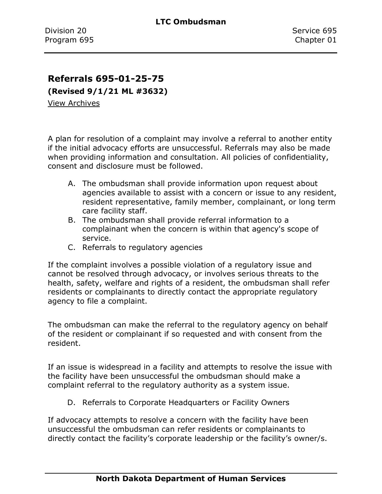### **Referrals 695-01-25-75**

**(Revised 9/1/21 ML #3632)**

[View Archives](../../../Content/Archive%20Documents/Archives.htm#695_01_25_75)

A plan for resolution of a complaint may involve a referral to another entity if the initial advocacy efforts are unsuccessful. Referrals may also be made when providing information and consultation. All policies of confidentiality, consent and disclosure must be followed.

- A. The ombudsman shall provide information upon request about agencies available to assist with a concern or issue to any resident, resident representative, family member, complainant, or long term care facility staff.
- B. The ombudsman shall provide referral information to a complainant when the concern is within that agency's scope of service.
- C. Referrals to regulatory agencies

If the complaint involves a possible violation of a regulatory issue and cannot be resolved through advocacy, or involves serious threats to the health, safety, welfare and rights of a resident, the ombudsman shall refer residents or complainants to directly contact the appropriate regulatory agency to file a complaint.

The ombudsman can make the referral to the regulatory agency on behalf of the resident or complainant if so requested and with consent from the resident.

If an issue is widespread in a facility and attempts to resolve the issue with the facility have been unsuccessful the ombudsman should make a complaint referral to the regulatory authority as a system issue.

D. Referrals to Corporate Headquarters or Facility Owners

If advocacy attempts to resolve a concern with the facility have been unsuccessful the ombudsman can refer residents or complainants to directly contact the facility's corporate leadership or the facility's owner/s.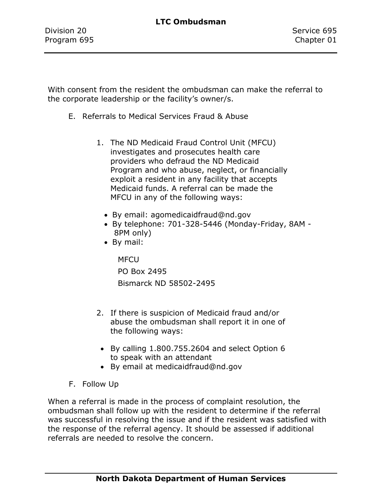With consent from the resident the ombudsman can make the referral to the corporate leadership or the facility's owner/s.

- E. Referrals to Medical Services Fraud & Abuse
	- 1. The ND Medicaid Fraud Control Unit (MFCU) investigates and prosecutes health care providers who defraud the ND Medicaid Program and who abuse, neglect, or financially exploit a resident in any facility that accepts Medicaid funds. A referral can be made the MFCU in any of the following ways:
		- By email: agomedicaidfraud@nd.gov
		- By telephone: 701-328-5446 (Monday-Friday, 8AM 8PM only)
		- By mail:

**MFCU** PO Box 2495 Bismarck ND 58502-2495

- 2. If there is suspicion of Medicaid fraud and/or abuse the ombudsman shall report it in one of the following ways:
- By calling 1.800.755.2604 and select Option 6 to speak with an attendant
- By email at medicaidfraud@nd.gov
- F. Follow Up

When a referral is made in the process of complaint resolution, the ombudsman shall follow up with the resident to determine if the referral was successful in resolving the issue and if the resident was satisfied with the response of the referral agency. It should be assessed if additional referrals are needed to resolve the concern.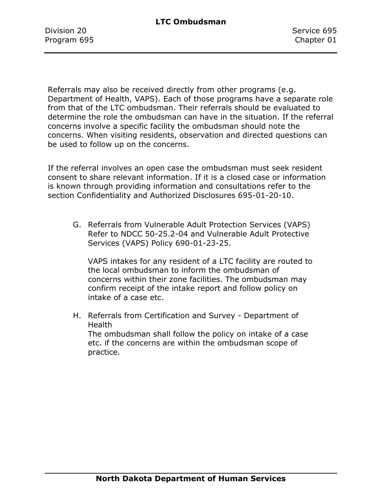Division 20 Service 695 Program 695 Chapter 01

Referrals may also be received directly from other programs (e.g. Department of Health, VAPS). Each of those programs have a separate role from that of the LTC ombudsman. Their referrals should be evaluated to determine the role the ombudsman can have in the situation. If the referral concerns involve a specific facility the ombudsman should note the concerns. When visiting residents, observation and directed questions can be used to follow up on the concerns.

If the referral involves an open case the ombudsman must seek resident consent to share relevant information. If it is a closed case or information is known through providing information and consultations refer to the section Confidentiality and Authorized Disclosures 695-01-20-10.

G. Referrals from Vulnerable Adult Protection Services (VAPS) Refer to NDCC 50-25.2-04 and Vulnerable Adult Protective Services (VAPS) Policy 690-01-23-25.

VAPS intakes for any resident of a LTC facility are routed to the local ombudsman to inform the ombudsman of concerns within their zone facilities. The ombudsman may confirm receipt of the intake report and follow policy on intake of a case etc.

H. Referrals from Certification and Survey - Department of Health The ombudsman shall follow the policy on intake of a case etc. if the concerns are within the ombudsman scope of practice.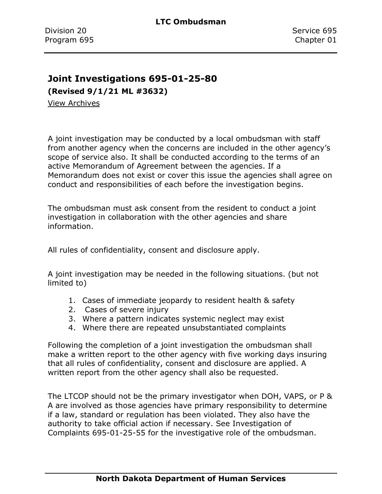#### **Joint Investigations 695-01-25-80**

**(Revised 9/1/21 ML #3632)**

[View Archives](../../../Content/Archive%20Documents/Archives.htm#695_01_25_80)

A joint investigation may be conducted by a local ombudsman with staff from another agency when the concerns are included in the other agency's scope of service also. It shall be conducted according to the terms of an active Memorandum of Agreement between the agencies. If a Memorandum does not exist or cover this issue the agencies shall agree on conduct and responsibilities of each before the investigation begins.

The ombudsman must ask consent from the resident to conduct a joint investigation in collaboration with the other agencies and share information.

All rules of confidentiality, consent and disclosure apply.

A joint investigation may be needed in the following situations. (but not limited to)

- 1. Cases of immediate jeopardy to resident health & safety
- 2. Cases of severe injury
- 3. Where a pattern indicates systemic neglect may exist
- 4. Where there are repeated unsubstantiated complaints

Following the completion of a joint investigation the ombudsman shall make a written report to the other agency with five working days insuring that all rules of confidentiality, consent and disclosure are applied. A written report from the other agency shall also be requested.

The LTCOP should not be the primary investigator when DOH, VAPS, or P & A are involved as those agencies have primary responsibility to determine if a law, standard or regulation has been violated. They also have the authority to take official action if necessary. See Investigation of Complaints 695-01-25-55 for the investigative role of the ombudsman.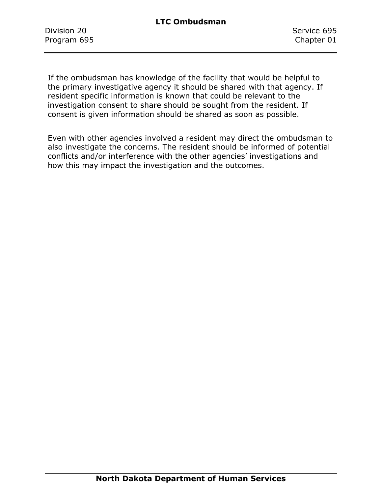Division 20 Service 695 Program 695 Chapter 01

If the ombudsman has knowledge of the facility that would be helpful to the primary investigative agency it should be shared with that agency. If resident specific information is known that could be relevant to the investigation consent to share should be sought from the resident. If consent is given information should be shared as soon as possible.

Even with other agencies involved a resident may direct the ombudsman to also investigate the concerns. The resident should be informed of potential conflicts and/or interference with the other agencies' investigations and how this may impact the investigation and the outcomes.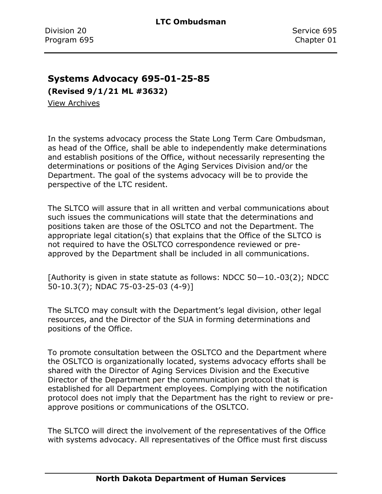#### **Systems Advocacy 695-01-25-85**

**(Revised 9/1/21 ML #3632)**

[View Archives](../../../Content/Archive%20Documents/Archives.htm#695_01_25_85)

In the systems advocacy process the State Long Term Care Ombudsman, as head of the Office, shall be able to independently make determinations and establish positions of the Office, without necessarily representing the determinations or positions of the Aging Services Division and/or the Department. The goal of the systems advocacy will be to provide the perspective of the LTC resident.

The SLTCO will assure that in all written and verbal communications about such issues the communications will state that the determinations and positions taken are those of the OSLTCO and not the Department. The appropriate legal citation(s) that explains that the Office of the SLTCO is not required to have the OSLTCO correspondence reviewed or preapproved by the Department shall be included in all communications.

[Authority is given in state statute as follows: NDCC 50—10.-03(2); NDCC 50-10.3(7); NDAC 75-03-25-03 (4-9)]

The SLTCO may consult with the Department's legal division, other legal resources, and the Director of the SUA in forming determinations and positions of the Office.

To promote consultation between the OSLTCO and the Department where the OSLTCO is organizationally located, systems advocacy efforts shall be shared with the Director of Aging Services Division and the Executive Director of the Department per the communication protocol that is established for all Department employees. Complying with the notification protocol does not imply that the Department has the right to review or preapprove positions or communications of the OSLTCO.

The SLTCO will direct the involvement of the representatives of the Office with systems advocacy. All representatives of the Office must first discuss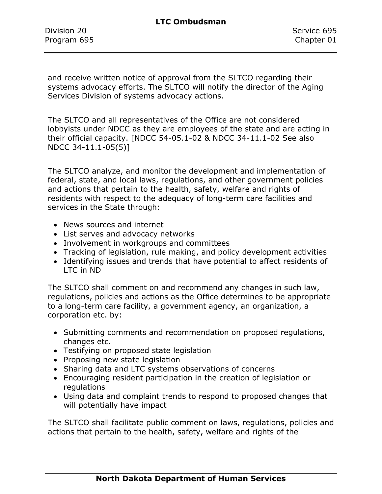Division 20 Service 695 Program 695 Chapter 01

and receive written notice of approval from the SLTCO regarding their systems advocacy efforts. The SLTCO will notify the director of the Aging Services Division of systems advocacy actions.

The SLTCO and all representatives of the Office are not considered lobbyists under NDCC as they are employees of the state and are acting in their official capacity. [NDCC 54-05.1-02 & NDCC 34-11.1-02 See also NDCC 34-11.1-05(5)]

The SLTCO analyze, and monitor the development and implementation of federal, state, and local laws, regulations, and other government policies and actions that pertain to the health, safety, welfare and rights of residents with respect to the adequacy of long-term care facilities and services in the State through:

- News sources and internet
- List serves and advocacy networks
- Involvement in workgroups and committees
- Tracking of legislation, rule making, and policy development activities
- Identifying issues and trends that have potential to affect residents of LTC in ND

The SLTCO shall comment on and recommend any changes in such law, regulations, policies and actions as the Office determines to be appropriate to a long-term care facility, a government agency, an organization, a corporation etc. by:

- Submitting comments and recommendation on proposed regulations, changes etc.
- Testifying on proposed state legislation
- Proposing new state legislation
- Sharing data and LTC systems observations of concerns
- Encouraging resident participation in the creation of legislation or regulations
- Using data and complaint trends to respond to proposed changes that will potentially have impact

The SLTCO shall facilitate public comment on laws, regulations, policies and actions that pertain to the health, safety, welfare and rights of the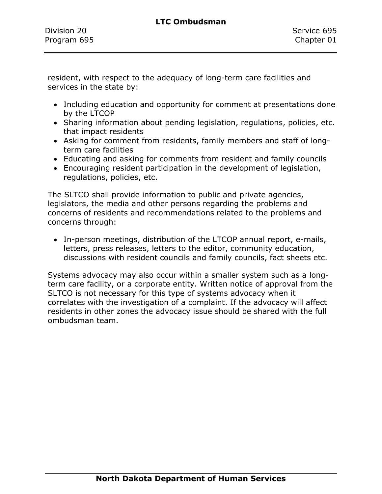resident, with respect to the adequacy of long-term care facilities and services in the state by:

- Including education and opportunity for comment at presentations done by the LTCOP
- Sharing information about pending legislation, regulations, policies, etc. that impact residents
- Asking for comment from residents, family members and staff of longterm care facilities
- Educating and asking for comments from resident and family councils
- Encouraging resident participation in the development of legislation, regulations, policies, etc.

The SLTCO shall provide information to public and private agencies, legislators, the media and other persons regarding the problems and concerns of residents and recommendations related to the problems and concerns through:

• In-person meetings, distribution of the LTCOP annual report, e-mails, letters, press releases, letters to the editor, community education, discussions with resident councils and family councils, fact sheets etc.

Systems advocacy may also occur within a smaller system such as a longterm care facility, or a corporate entity. Written notice of approval from the SLTCO is not necessary for this type of systems advocacy when it correlates with the investigation of a complaint. If the advocacy will affect residents in other zones the advocacy issue should be shared with the full ombudsman team.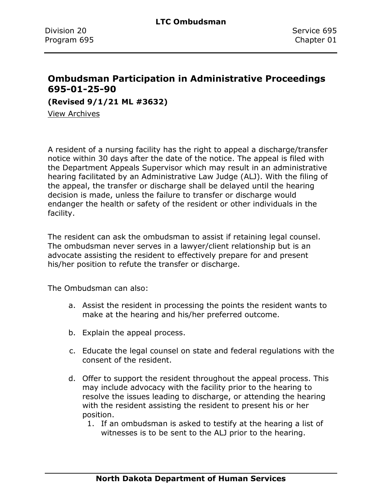### **Ombudsman Participation in Administrative Proceedings 695-01-25-90**

**(Revised 9/1/21 ML #3632)**

[View Archives](../../../Content/Archive%20Documents/Archives.htm#695_01_25_90)

A resident of a nursing facility has the right to appeal a discharge/transfer notice within 30 days after the date of the notice. The appeal is filed with the Department Appeals Supervisor which may result in an administrative hearing facilitated by an Administrative Law Judge (ALJ). With the filing of the appeal, the transfer or discharge shall be delayed until the hearing decision is made, unless the failure to transfer or discharge would endanger the health or safety of the resident or other individuals in the facility.

The resident can ask the ombudsman to assist if retaining legal counsel. The ombudsman never serves in a lawyer/client relationship but is an advocate assisting the resident to effectively prepare for and present his/her position to refute the transfer or discharge.

The Ombudsman can also:

- a. Assist the resident in processing the points the resident wants to make at the hearing and his/her preferred outcome.
- b. Explain the appeal process.
- c. Educate the legal counsel on state and federal regulations with the consent of the resident.
- d. Offer to support the resident throughout the appeal process. This may include advocacy with the facility prior to the hearing to resolve the issues leading to discharge, or attending the hearing with the resident assisting the resident to present his or her position.
	- 1. If an ombudsman is asked to testify at the hearing a list of witnesses is to be sent to the ALJ prior to the hearing.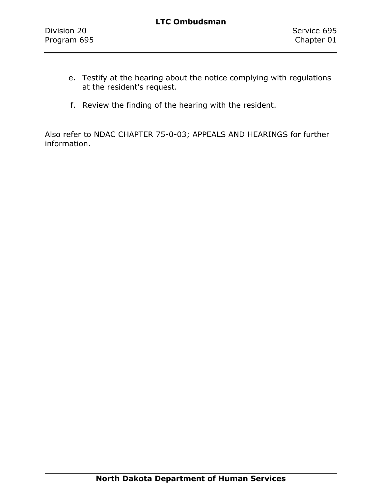- e. Testify at the hearing about the notice complying with regulations at the resident's request.
- f. Review the finding of the hearing with the resident.

Also refer to NDAC CHAPTER 75-0-03; APPEALS AND HEARINGS for further information.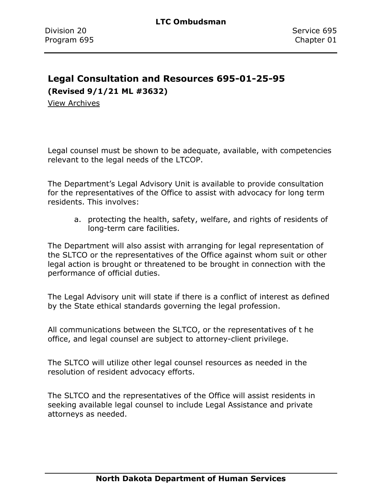# **Legal Consultation and Resources 695-01-25-95**

**(Revised 9/1/21 ML #3632)**

[View Archives](../../../Content/Archive%20Documents/Archives.htm#695_01_25_95)

Legal counsel must be shown to be adequate, available, with competencies relevant to the legal needs of the LTCOP.

The Department's Legal Advisory Unit is available to provide consultation for the representatives of the Office to assist with advocacy for long term residents. This involves:

a. protecting the health, safety, welfare, and rights of residents of long-term care facilities.

The Department will also assist with arranging for legal representation of the SLTCO or the representatives of the Office against whom suit or other legal action is brought or threatened to be brought in connection with the performance of official duties.

The Legal Advisory unit will state if there is a conflict of interest as defined by the State ethical standards governing the legal profession.

All communications between the SLTCO, or the representatives of t he office, and legal counsel are subject to attorney-client privilege.

The SLTCO will utilize other legal counsel resources as needed in the resolution of resident advocacy efforts.

The SLTCO and the representatives of the Office will assist residents in seeking available legal counsel to include Legal Assistance and private attorneys as needed.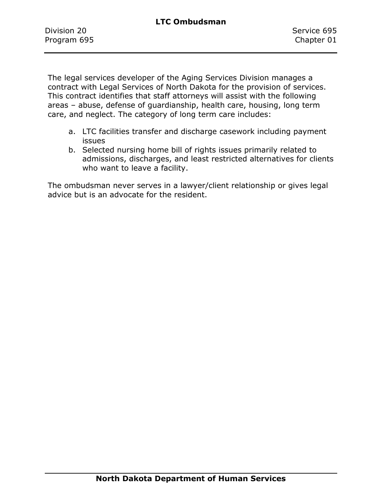The legal services developer of the Aging Services Division manages a contract with Legal Services of North Dakota for the provision of services. This contract identifies that staff attorneys will assist with the following areas – abuse, defense of guardianship, health care, housing, long term care, and neglect. The category of long term care includes:

- a. LTC facilities transfer and discharge casework including payment issues
- b. Selected nursing home bill of rights issues primarily related to admissions, discharges, and least restricted alternatives for clients who want to leave a facility.

The ombudsman never serves in a lawyer/client relationship or gives legal advice but is an advocate for the resident.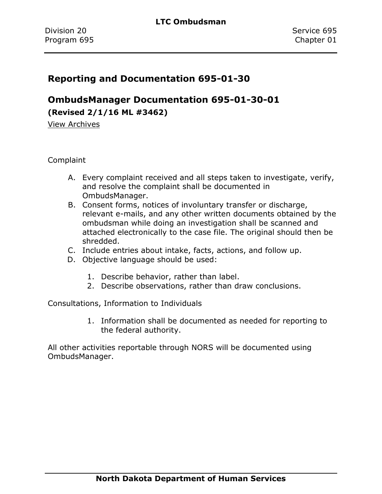### **Reporting and Documentation 695-01-30**

**OmbudsManager Documentation 695-01-30-01 (Revised 2/1/16 ML #3462)**

[View Archives](../../../Content/Archive%20Documents/Archives.htm#695_01_30_01)

**Complaint** 

- A. Every complaint received and all steps taken to investigate, verify, and resolve the complaint shall be documented in OmbudsManager.
- B. Consent forms, notices of involuntary transfer or discharge, relevant e-mails, and any other written documents obtained by the ombudsman while doing an investigation shall be scanned and attached electronically to the case file. The original should then be shredded.
- C. Include entries about intake, facts, actions, and follow up.
- D. Objective language should be used:
	- 1. Describe behavior, rather than label.
	- 2. Describe observations, rather than draw conclusions.

Consultations, Information to Individuals

1. Information shall be documented as needed for reporting to the federal authority.

All other activities reportable through NORS will be documented using OmbudsManager.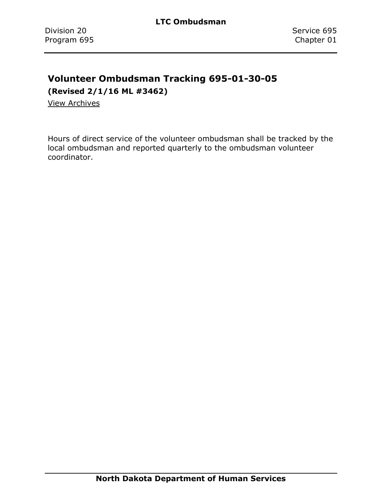# **Volunteer Ombudsman Tracking 695-01-30-05**

**(Revised 2/1/16 ML #3462)**

[View Archives](../../../Content/Archive%20Documents/Archives.htm#695_01_30_05)

Hours of direct service of the volunteer ombudsman shall be tracked by the local ombudsman and reported quarterly to the ombudsman volunteer coordinator.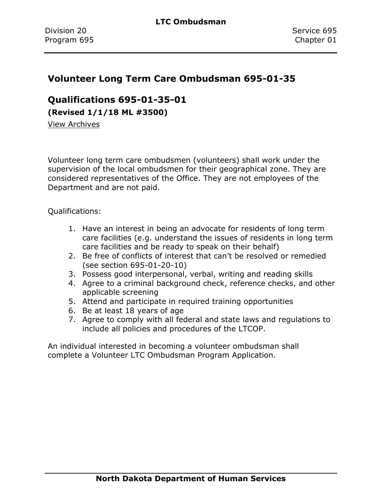### **Volunteer Long Term Care Ombudsman 695-01-35**

**Qualifications 695-01-35-01**

**(Revised 1/1/18 ML #3500)**

[View Archives](../../../Content/Archive%20Documents/Archives.htm#695_01_35_01)

Volunteer long term care ombudsmen (volunteers) shall work under the supervision of the local ombudsmen for their geographical zone. They are considered representatives of the Office. They are not employees of the Department and are not paid.

Qualifications:

- 1. Have an interest in being an advocate for residents of long term care facilities (e.g. understand the issues of residents in long term care facilities and be ready to speak on their behalf)
- 2. Be free of conflicts of interest that can't be resolved or remedied (see section 695-01-20-10)
- 3. Possess good interpersonal, verbal, writing and reading skills
- 4. Agree to a criminal background check, reference checks, and other applicable screening
- 5. Attend and participate in required training opportunities
- 6. Be at least 18 years of age
- 7. Agree to comply with all federal and state laws and regulations to include all policies and procedures of the LTCOP.

An individual interested in becoming a volunteer ombudsman shall complete a Volunteer LTC Ombudsman Program Application.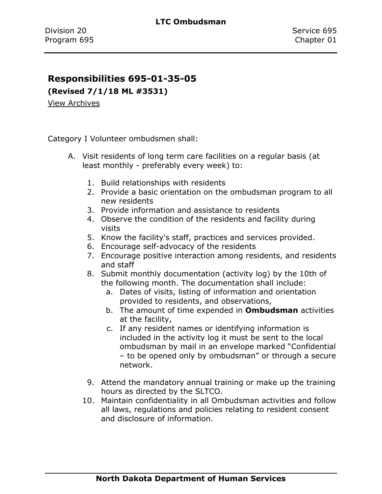### **Responsibilities 695-01-35-05**

**(Revised 7/1/18 ML #3531)**

[View Archives](../../../Content/Archive%20Documents/Archives.htm#695_01_35_05)

Category I Volunteer ombudsmen shall:

- A. Visit residents of long term care facilities on a regular basis (at least monthly - preferably every week) to:
	- 1. Build relationships with residents
	- 2. Provide a basic orientation on the ombudsman program to all new residents
	- 3. Provide information and assistance to residents
	- 4. Observe the condition of the residents and facility during visits
	- 5. Know the facility's staff, practices and services provided.
	- 6. Encourage self-advocacy of the residents
	- 7. Encourage positive interaction among residents, and residents and staff
	- 8. Submit monthly documentation (activity log) by the 10th of the following month. The documentation shall include:
		- a. Dates of visits, listing of information and orientation provided to residents, and observations,
		- b. The amount of time expended in **Ombudsman** activities at the facility,
		- c. If any resident names or identifying information is included in the activity log it must be sent to the local ombudsman by mail in an envelope marked "Confidential – to be opened only by ombudsman" or through a secure network.
	- 9. Attend the mandatory annual training or make up the training hours as directed by the SLTCO.
	- 10. Maintain confidentiality in all Ombudsman activities and follow all laws, regulations and policies relating to resident consent and disclosure of information.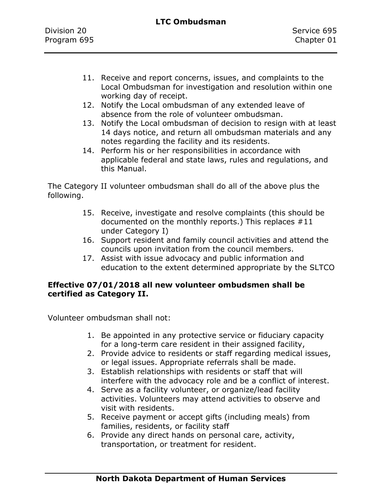- 11. Receive and report concerns, issues, and complaints to the Local Ombudsman for investigation and resolution within one working day of receipt.
- 12. Notify the Local ombudsman of any extended leave of absence from the role of volunteer ombudsman.
- 13. Notify the Local ombudsman of decision to resign with at least 14 days notice, and return all ombudsman materials and any notes regarding the facility and its residents.
- 14. Perform his or her responsibilities in accordance with applicable federal and state laws, rules and regulations, and this Manual.

The Category II volunteer ombudsman shall do all of the above plus the following.

- 15. Receive, investigate and resolve complaints (this should be documented on the monthly reports.) This replaces #11 under Category I)
- 16. Support resident and family council activities and attend the councils upon invitation from the council members.
- 17. Assist with issue advocacy and public information and education to the extent determined appropriate by the SLTCO

#### **Effective 07/01/2018 all new volunteer ombudsmen shall be certified as Category II.**

Volunteer ombudsman shall not:

- 1. Be appointed in any protective service or fiduciary capacity for a long-term care resident in their assigned facility,
- 2. Provide advice to residents or staff regarding medical issues, or legal issues. Appropriate referrals shall be made.
- 3. Establish relationships with residents or staff that will interfere with the advocacy role and be a conflict of interest.
- 4. Serve as a facility volunteer, or organize/lead facility activities. Volunteers may attend activities to observe and visit with residents.
- 5. Receive payment or accept gifts (including meals) from families, residents, or facility staff
- 6. Provide any direct hands on personal care, activity, transportation, or treatment for resident.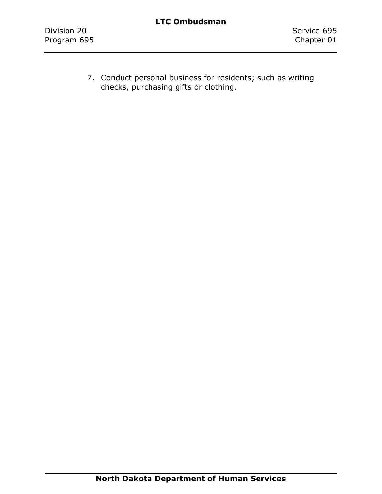7. Conduct personal business for residents; such as writing checks, purchasing gifts or clothing.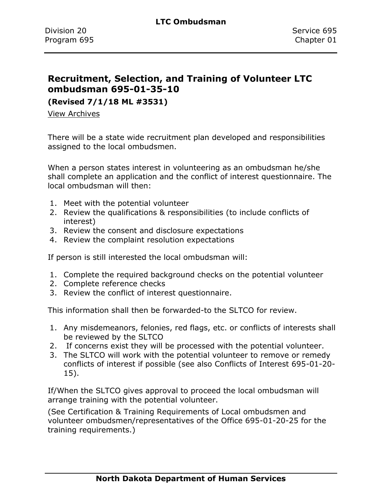### **Recruitment, Selection, and Training of Volunteer LTC ombudsman 695-01-35-10**

**(Revised 7/1/18 ML #3531)**

[View Archives](../../../Content/Archive%20Documents/Archives.htm#695_01_35_10)

There will be a state wide recruitment plan developed and responsibilities assigned to the local ombudsmen.

When a person states interest in volunteering as an ombudsman he/she shall complete an application and the conflict of interest questionnaire. The local ombudsman will then:

- 1. Meet with the potential volunteer
- 2. Review the qualifications & responsibilities (to include conflicts of interest)
- 3. Review the consent and disclosure expectations
- 4. Review the complaint resolution expectations

If person is still interested the local ombudsman will:

- 1. Complete the required background checks on the potential volunteer
- 2. Complete reference checks
- 3. Review the conflict of interest questionnaire.

This information shall then be forwarded-to the SLTCO for review.

- 1. Any misdemeanors, felonies, red flags, etc. or conflicts of interests shall be reviewed by the SLTCO
- 2. If concerns exist they will be processed with the potential volunteer.
- 3. The SLTCO will work with the potential volunteer to remove or remedy conflicts of interest if possible (see also Conflicts of Interest 695-01-20- 15).

If/When the SLTCO gives approval to proceed the local ombudsman will arrange training with the potential volunteer.

(See Certification & Training Requirements of Local ombudsmen and volunteer ombudsmen/representatives of the Office 695-01-20-25 for the training requirements.)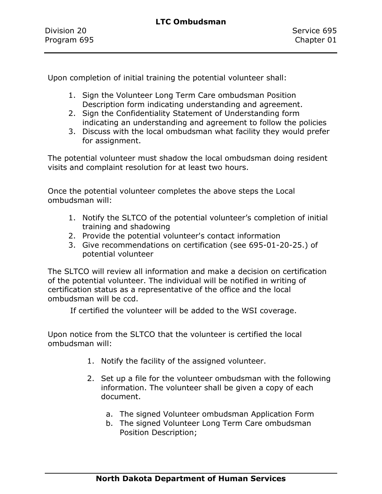Upon completion of initial training the potential volunteer shall:

- 1. Sign the Volunteer Long Term Care ombudsman Position Description form indicating understanding and agreement.
- 2. Sign the Confidentiality Statement of Understanding form indicating an understanding and agreement to follow the policies
- 3. Discuss with the local ombudsman what facility they would prefer for assignment.

The potential volunteer must shadow the local ombudsman doing resident visits and complaint resolution for at least two hours.

Once the potential volunteer completes the above steps the Local ombudsman will:

- 1. Notify the SLTCO of the potential volunteer's completion of initial training and shadowing
- 2. Provide the potential volunteer's contact information
- 3. Give recommendations on certification (see 695-01-20-25.) of potential volunteer

The SLTCO will review all information and make a decision on certification of the potential volunteer. The individual will be notified in writing of certification status as a representative of the office and the local ombudsman will be ccd.

If certified the volunteer will be added to the WSI coverage.

Upon notice from the SLTCO that the volunteer is certified the local ombudsman will:

- 1. Notify the facility of the assigned volunteer.
- 2. Set up a file for the volunteer ombudsman with the following information. The volunteer shall be given a copy of each document.
	- a. The signed Volunteer ombudsman Application Form
	- b. The signed Volunteer Long Term Care ombudsman Position Description;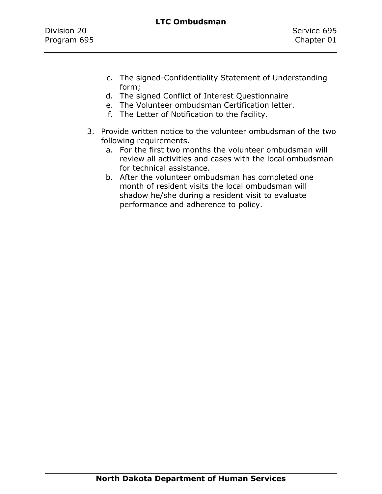- c. The signed-Confidentiality Statement of Understanding form;
- d. The signed Conflict of Interest Questionnaire
- e. The Volunteer ombudsman Certification letter.
- f. The Letter of Notification to the facility.
- 3. Provide written notice to the volunteer ombudsman of the two following requirements.
	- a. For the first two months the volunteer ombudsman will review all activities and cases with the local ombudsman for technical assistance.
	- b. After the volunteer ombudsman has completed one month of resident visits the local ombudsman will shadow he/she during a resident visit to evaluate performance and adherence to policy.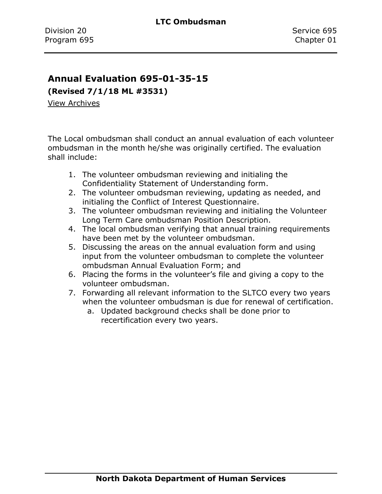### **Annual Evaluation 695-01-35-15**

**(Revised 7/1/18 ML #3531)**

[View Archives](../../../Content/Archive%20Documents/Archives.htm#695_01_35_15)

The Local ombudsman shall conduct an annual evaluation of each volunteer ombudsman in the month he/she was originally certified. The evaluation shall include:

- 1. The volunteer ombudsman reviewing and initialing the Confidentiality Statement of Understanding form.
- 2. The volunteer ombudsman reviewing, updating as needed, and initialing the Conflict of Interest Questionnaire.
- 3. The volunteer ombudsman reviewing and initialing the Volunteer Long Term Care ombudsman Position Description.
- 4. The local ombudsman verifying that annual training requirements have been met by the volunteer ombudsman.
- 5. Discussing the areas on the annual evaluation form and using input from the volunteer ombudsman to complete the volunteer ombudsman Annual Evaluation Form; and
- 6. Placing the forms in the volunteer's file and giving a copy to the volunteer ombudsman.
- 7. Forwarding all relevant information to the SLTCO every two years when the volunteer ombudsman is due for renewal of certification.
	- a. Updated background checks shall be done prior to recertification every two years.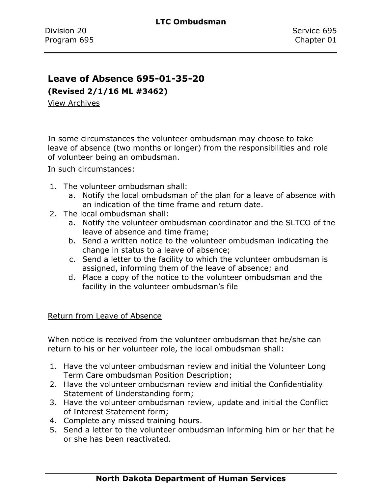### **Leave of Absence 695-01-35-20**

**(Revised 2/1/16 ML #3462)**

[View Archives](../../../Content/Archive%20Documents/Archives.htm#695_01_35_20)

In some circumstances the volunteer ombudsman may choose to take leave of absence (two months or longer) from the responsibilities and role of volunteer being an ombudsman.

In such circumstances:

- 1. The volunteer ombudsman shall:
	- a. Notify the local ombudsman of the plan for a leave of absence with an indication of the time frame and return date.
- 2. The local ombudsman shall:
	- a. Notify the volunteer ombudsman coordinator and the SLTCO of the leave of absence and time frame;
	- b. Send a written notice to the volunteer ombudsman indicating the change in status to a leave of absence;
	- c. Send a letter to the facility to which the volunteer ombudsman is assigned, informing them of the leave of absence; and
	- d. Place a copy of the notice to the volunteer ombudsman and the facility in the volunteer ombudsman's file

#### Return from Leave of Absence

When notice is received from the volunteer ombudsman that he/she can return to his or her volunteer role, the local ombudsman shall:

- 1. Have the volunteer ombudsman review and initial the Volunteer Long Term Care ombudsman Position Description;
- 2. Have the volunteer ombudsman review and initial the Confidentiality Statement of Understanding form;
- 3. Have the volunteer ombudsman review, update and initial the Conflict of Interest Statement form;
- 4. Complete any missed training hours.
- 5. Send a letter to the volunteer ombudsman informing him or her that he or she has been reactivated.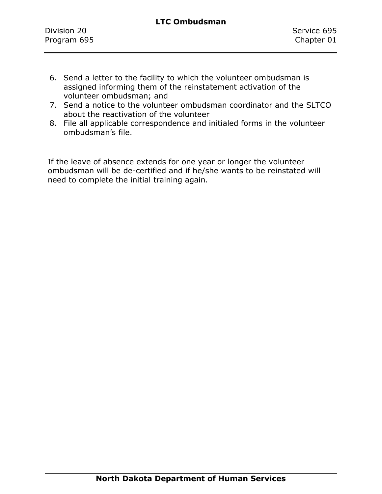- 6. Send a letter to the facility to which the volunteer ombudsman is assigned informing them of the reinstatement activation of the volunteer ombudsman; and
- 7. Send a notice to the volunteer ombudsman coordinator and the SLTCO about the reactivation of the volunteer
- 8. File all applicable correspondence and initialed forms in the volunteer ombudsman's file.

If the leave of absence extends for one year or longer the volunteer ombudsman will be de-certified and if he/she wants to be reinstated will need to complete the initial training again.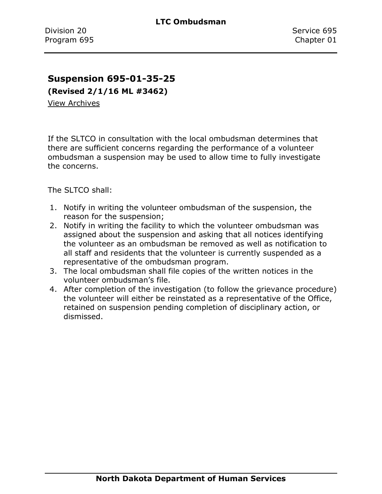### **Suspension 695-01-35-25**

**(Revised 2/1/16 ML #3462)**

[View Archives](../../../Content/Archive%20Documents/Archives.htm#695_01_35_25)

If the SLTCO in consultation with the local ombudsman determines that there are sufficient concerns regarding the performance of a volunteer ombudsman a suspension may be used to allow time to fully investigate the concerns.

The SLTCO shall:

- 1. Notify in writing the volunteer ombudsman of the suspension, the reason for the suspension;
- 2. Notify in writing the facility to which the volunteer ombudsman was assigned about the suspension and asking that all notices identifying the volunteer as an ombudsman be removed as well as notification to all staff and residents that the volunteer is currently suspended as a representative of the ombudsman program.
- 3. The local ombudsman shall file copies of the written notices in the volunteer ombudsman's file.
- 4. After completion of the investigation (to follow the grievance procedure) the volunteer will either be reinstated as a representative of the Office, retained on suspension pending completion of disciplinary action, or dismissed.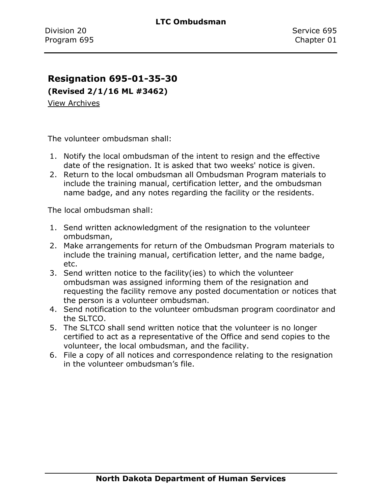### **Resignation 695-01-35-30**

**(Revised 2/1/16 ML #3462)**

[View Archives](../../../Content/Archive%20Documents/Archives.htm#695_01_35_30)

The volunteer ombudsman shall:

- 1. Notify the local ombudsman of the intent to resign and the effective date of the resignation. It is asked that two weeks' notice is given.
- 2. Return to the local ombudsman all Ombudsman Program materials to include the training manual, certification letter, and the ombudsman name badge, and any notes regarding the facility or the residents.

The local ombudsman shall:

- 1. Send written acknowledgment of the resignation to the volunteer ombudsman,
- 2. Make arrangements for return of the Ombudsman Program materials to include the training manual, certification letter, and the name badge, etc.
- 3. Send written notice to the facility(ies) to which the volunteer ombudsman was assigned informing them of the resignation and requesting the facility remove any posted documentation or notices that the person is a volunteer ombudsman.
- 4. Send notification to the volunteer ombudsman program coordinator and the SLTCO.
- 5. The SLTCO shall send written notice that the volunteer is no longer certified to act as a representative of the Office and send copies to the volunteer, the local ombudsman, and the facility.
- 6. File a copy of all notices and correspondence relating to the resignation in the volunteer ombudsman's file.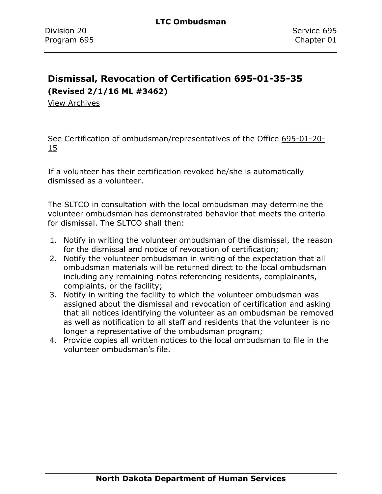## **Dismissal, Revocation of Certification 695-01-35-35 (Revised 2/1/16 ML #3462)**

[View Archives](../../../Content/Archive%20Documents/Archives.htm#695_05_35_35)

See Certification of ombudsman/representatives of the Office [695-01-20-](#page-31-0) [15](#page-31-0)

If a volunteer has their certification revoked he/she is automatically dismissed as a volunteer.

The SLTCO in consultation with the local ombudsman may determine the volunteer ombudsman has demonstrated behavior that meets the criteria for dismissal. The SLTCO shall then:

- 1. Notify in writing the volunteer ombudsman of the dismissal, the reason for the dismissal and notice of revocation of certification;
- 2. Notify the volunteer ombudsman in writing of the expectation that all ombudsman materials will be returned direct to the local ombudsman including any remaining notes referencing residents, complainants, complaints, or the facility;
- 3. Notify in writing the facility to which the volunteer ombudsman was assigned about the dismissal and revocation of certification and asking that all notices identifying the volunteer as an ombudsman be removed as well as notification to all staff and residents that the volunteer is no longer a representative of the ombudsman program;
- 4. Provide copies all written notices to the local ombudsman to file in the volunteer ombudsman's file.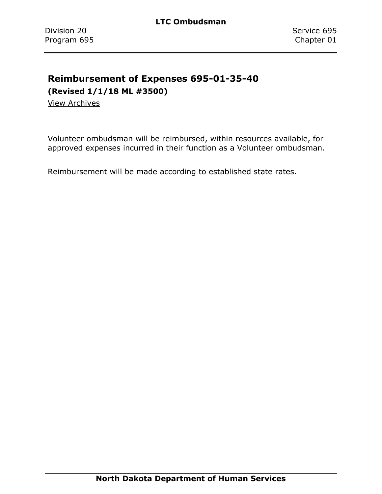# **Reimbursement of Expenses 695-01-35-40**

**(Revised 1/1/18 ML #3500)**

[View Archives](../../../Content/Archive%20Documents/Archives.htm#695_01_35_40)

Volunteer ombudsman will be reimbursed, within resources available, for approved expenses incurred in their function as a Volunteer ombudsman.

Reimbursement will be made according to established state rates.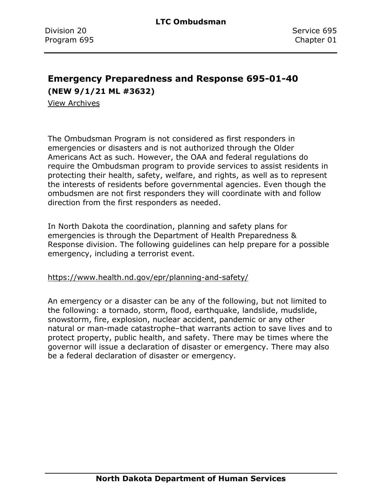### **Emergency Preparedness and Response 695-01-40 (NEW 9/1/21 ML #3632)**

[View Archives](../../../Content/Archive%20Documents/Archives.htm#695_01_40)

The Ombudsman Program is not considered as first responders in emergencies or disasters and is not authorized through the Older Americans Act as such. However, the OAA and federal regulations do require the Ombudsman program to provide services to assist residents in protecting their health, safety, welfare, and rights, as well as to represent the interests of residents before governmental agencies. Even though the ombudsmen are not first responders they will coordinate with and follow direction from the first responders as needed.

In North Dakota the coordination, planning and safety plans for emergencies is through the Department of Health Preparedness & Response division. The following guidelines can help prepare for a possible emergency, including a terrorist event.

<https://www.health.nd.gov/epr/planning-and-safety/>

An emergency or a disaster can be any of the following, but not limited to the following: a tornado, storm, flood, earthquake, landslide, mudslide, snowstorm, fire, explosion, nuclear accident, pandemic or any other natural or man-made catastrophe–that warrants action to save lives and to protect property, public health, and safety. There may be times where the governor will issue a declaration of disaster or emergency. There may also be a federal declaration of disaster or emergency.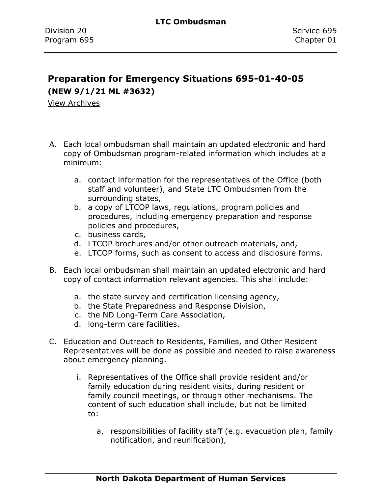# **Preparation for Emergency Situations 695-01-40-05 (NEW 9/1/21 ML #3632)**

[View Archives](../../../Content/Archive%20Documents/Archives.htm#695_01_40_04)

- A. Each local ombudsman shall maintain an updated electronic and hard copy of Ombudsman program-related information which includes at a minimum:
	- a. contact information for the representatives of the Office (both staff and volunteer), and State LTC Ombudsmen from the surrounding states,
	- b. a copy of LTCOP laws, regulations, program policies and procedures, including emergency preparation and response policies and procedures,
	- c. business cards,
	- d. LTCOP brochures and/or other outreach materials, and,
	- e. LTCOP forms, such as consent to access and disclosure forms.
- B. Each local ombudsman shall maintain an updated electronic and hard copy of contact information relevant agencies. This shall include:
	- a. the state survey and certification licensing agency,
	- b. the State Preparedness and Response Division,
	- c. the ND Long-Term Care Association,
	- d. long-term care facilities.
- C. Education and Outreach to Residents, Families, and Other Resident Representatives will be done as possible and needed to raise awareness about emergency planning.
	- i. Representatives of the Office shall provide resident and/or family education during resident visits, during resident or family council meetings, or through other mechanisms. The content of such education shall include, but not be limited to:
		- a. responsibilities of facility staff (e.g. evacuation plan, family notification, and reunification),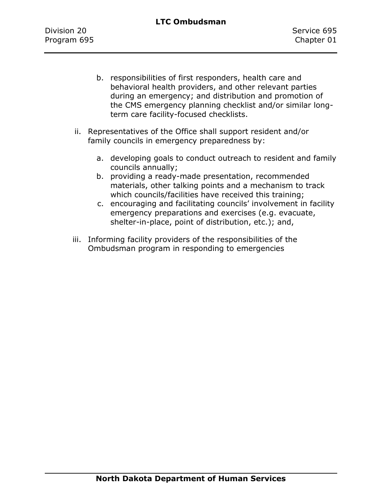- b. responsibilities of first responders, health care and behavioral health providers, and other relevant parties during an emergency; and distribution and promotion of the CMS emergency planning checklist and/or similar longterm care facility-focused checklists.
- ii. Representatives of the Office shall support resident and/or family councils in emergency preparedness by:
	- a. developing goals to conduct outreach to resident and family councils annually;
	- b. providing a ready-made presentation, recommended materials, other talking points and a mechanism to track which councils/facilities have received this training;
	- c. encouraging and facilitating councils' involvement in facility emergency preparations and exercises (e.g. evacuate, shelter-in-place, point of distribution, etc.); and,
- iii. Informing facility providers of the responsibilities of the Ombudsman program in responding to emergencies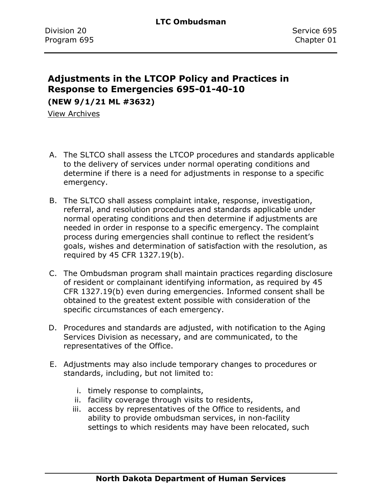# **Adjustments in the LTCOP Policy and Practices in Response to Emergencies 695-01-40-10**

**(NEW 9/1/21 ML #3632)**

[View Archives](../../../Content/Archive%20Documents/Archives.htm#695_01_40_10)

- A. The SLTCO shall assess the LTCOP procedures and standards applicable to the delivery of services under normal operating conditions and determine if there is a need for adjustments in response to a specific emergency.
- B. The SLTCO shall assess complaint intake, response, investigation, referral, and resolution procedures and standards applicable under normal operating conditions and then determine if adjustments are needed in order in response to a specific emergency. The complaint process during emergencies shall continue to reflect the resident's goals, wishes and determination of satisfaction with the resolution, as required by 45 CFR 1327.19(b).
- C. The Ombudsman program shall maintain practices regarding disclosure of resident or complainant identifying information, as required by 45 CFR 1327.19(b) even during emergencies. Informed consent shall be obtained to the greatest extent possible with consideration of the specific circumstances of each emergency.
- D. Procedures and standards are adjusted, with notification to the Aging Services Division as necessary, and are communicated, to the representatives of the Office.
- E. Adjustments may also include temporary changes to procedures or standards, including, but not limited to:
	- i. timely response to complaints,
	- ii. facility coverage through visits to residents,
	- iii. access by representatives of the Office to residents, and ability to provide ombudsman services, in non-facility settings to which residents may have been relocated, such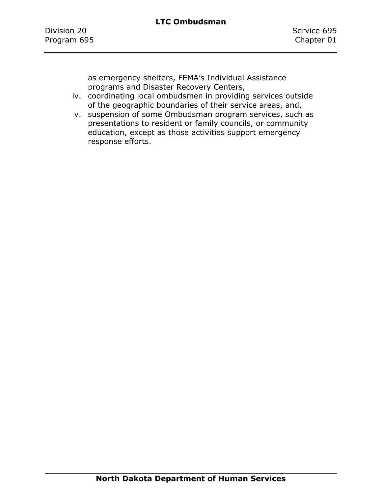as emergency shelters, FEMA's Individual Assistance programs and Disaster Recovery Centers,

- iv. coordinating local ombudsmen in providing services outside of the geographic boundaries of their service areas, and,
- v. suspension of some Ombudsman program services, such as presentations to resident or family councils, or community education, except as those activities support emergency response efforts.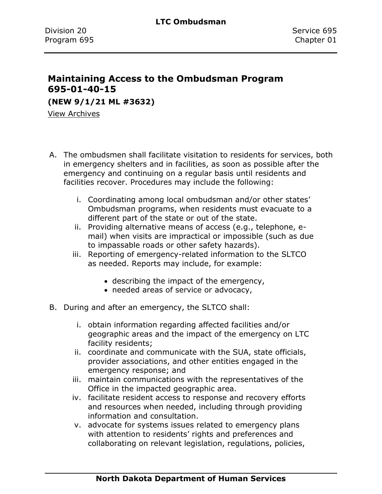## **Maintaining Access to the Ombudsman Program 695-01-40-15**

**(NEW 9/1/21 ML #3632)**

View Archives

- A. The ombudsmen shall facilitate visitation to residents for services, both in emergency shelters and in facilities, as soon as possible after the emergency and continuing on a regular basis until residents and facilities recover. Procedures may include the following:
	- i. Coordinating among local ombudsman and/or other states' Ombudsman programs, when residents must evacuate to a different part of the state or out of the state.
	- ii. Providing alternative means of access (e.g., telephone, email) when visits are impractical or impossible (such as due to impassable roads or other safety hazards).
	- iii. Reporting of emergency-related information to the SLTCO as needed. Reports may include, for example:
		- describing the impact of the emergency,
		- needed areas of service or advocacy,
- B. During and after an emergency, the SLTCO shall:
	- i. obtain information regarding affected facilities and/or geographic areas and the impact of the emergency on LTC facility residents;
	- ii. coordinate and communicate with the SUA, state officials, provider associations, and other entities engaged in the emergency response; and
	- iii. maintain communications with the representatives of the Office in the impacted geographic area.
	- iv. facilitate resident access to response and recovery efforts and resources when needed, including through providing information and consultation.
	- v. advocate for systems issues related to emergency plans with attention to residents' rights and preferences and collaborating on relevant legislation, regulations, policies,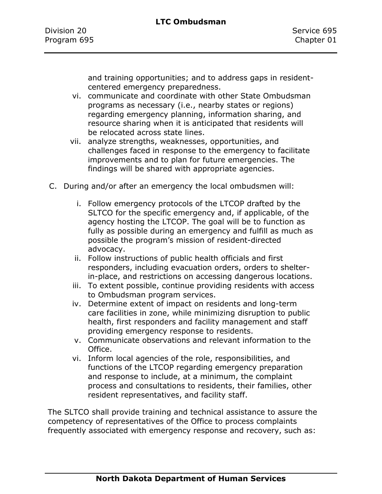and training opportunities; and to address gaps in residentcentered emergency preparedness.

- vi. communicate and coordinate with other State Ombudsman programs as necessary (i.e., nearby states or regions) regarding emergency planning, information sharing, and resource sharing when it is anticipated that residents will be relocated across state lines.
- vii. analyze strengths, weaknesses, opportunities, and challenges faced in response to the emergency to facilitate improvements and to plan for future emergencies. The findings will be shared with appropriate agencies.
- C. During and/or after an emergency the local ombudsmen will:
	- i. Follow emergency protocols of the LTCOP drafted by the SLTCO for the specific emergency and, if applicable, of the agency hosting the LTCOP. The goal will be to function as fully as possible during an emergency and fulfill as much as possible the program's mission of resident-directed advocacy.
	- ii. Follow instructions of public health officials and first responders, including evacuation orders, orders to shelterin-place, and restrictions on accessing dangerous locations.
	- iii. To extent possible, continue providing residents with access to Ombudsman program services.
	- iv. Determine extent of impact on residents and long-term care facilities in zone, while minimizing disruption to public health, first responders and facility management and staff providing emergency response to residents.
	- v. Communicate observations and relevant information to the Office.
	- vi. Inform local agencies of the role, responsibilities, and functions of the LTCOP regarding emergency preparation and response to include, at a minimum, the complaint process and consultations to residents, their families, other resident representatives, and facility staff.

The SLTCO shall provide training and technical assistance to assure the competency of representatives of the Office to process complaints frequently associated with emergency response and recovery, such as: